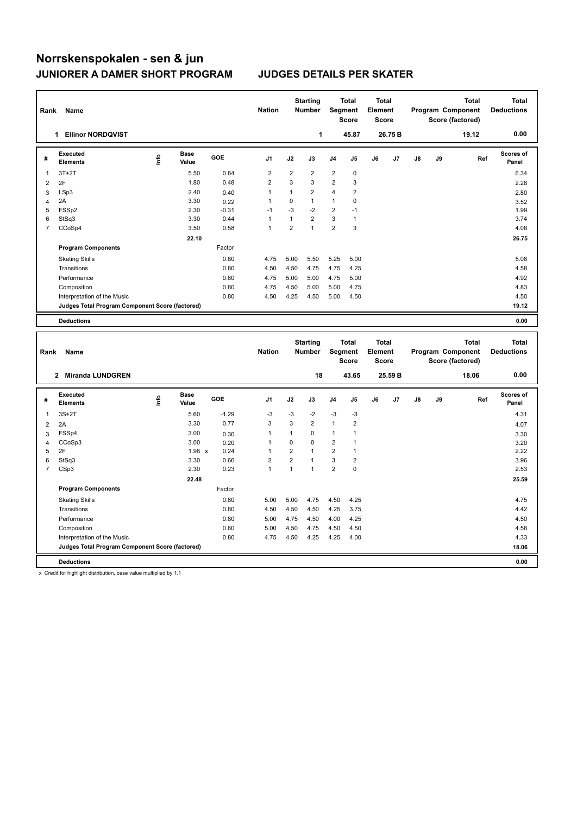| Rank           | Name                                            |    |                      |            | <b>Nation</b>  |                | <b>Starting</b><br><b>Number</b> |                         | <b>Total</b><br>Segment<br><b>Score</b> | <b>Total</b><br>Element<br><b>Score</b> |         |               |    | <b>Total</b><br>Program Component<br>Score (factored)        | <b>Total</b><br><b>Deductions</b> |
|----------------|-------------------------------------------------|----|----------------------|------------|----------------|----------------|----------------------------------|-------------------------|-----------------------------------------|-----------------------------------------|---------|---------------|----|--------------------------------------------------------------|-----------------------------------|
|                | <b>Ellinor NORDQVIST</b><br>1.                  |    |                      |            |                |                | 1                                |                         | 45.87                                   |                                         | 26.75 B |               |    | 19.12                                                        | 0.00                              |
| #              | Executed<br><b>Elements</b>                     | ۴٥ | <b>Base</b><br>Value | <b>GOE</b> | J <sub>1</sub> | J2             | J3                               | J <sub>4</sub>          | J5                                      | J6                                      | J7      | $\mathsf{J}8$ | J9 | Ref                                                          | <b>Scores of</b><br>Panel         |
| 1              | $3T+2T$                                         |    | 5.50                 | 0.84       | 2              | $\overline{2}$ | $\overline{2}$                   | $\overline{\mathbf{c}}$ | 0                                       |                                         |         |               |    |                                                              | 6.34                              |
| $\overline{2}$ | 2F                                              |    | 1.80                 | 0.48       | $\overline{2}$ | 3              | 3                                | $\overline{\mathbf{c}}$ | 3                                       |                                         |         |               |    |                                                              | 2.28                              |
| 3              | LSp3                                            |    | 2.40                 | 0.40       | 1              | 1              | $\overline{2}$                   | 4                       | 2                                       |                                         |         |               |    |                                                              | 2.80                              |
| 4              | 2A                                              |    | 3.30                 | 0.22       | 1              | 0              | $\mathbf{1}$                     | $\mathbf{1}$            | 0                                       |                                         |         |               |    |                                                              | 3.52                              |
| 5              | FSSp2                                           |    | 2.30                 | $-0.31$    | $-1$           | $-3$           | $-2$                             | $\overline{2}$          | $-1$                                    |                                         |         |               |    |                                                              | 1.99                              |
| 6              | StSq3                                           |    | 3.30                 | 0.44       | 1              | 1              | $\overline{2}$                   | 3                       | $\mathbf{1}$                            |                                         |         |               |    |                                                              | 3.74                              |
| $\overline{7}$ | CCoSp4                                          |    | 3.50                 | 0.58       | 1              | $\overline{2}$ | $\mathbf{1}$                     | $\overline{2}$          | 3                                       |                                         |         |               |    |                                                              | 4.08                              |
|                |                                                 |    | 22.10                |            |                |                |                                  |                         |                                         |                                         |         |               |    |                                                              | 26.75                             |
|                | <b>Program Components</b>                       |    |                      | Factor     |                |                |                                  |                         |                                         |                                         |         |               |    |                                                              |                                   |
|                | <b>Skating Skills</b>                           |    |                      | 0.80       | 4.75           | 5.00           | 5.50                             | 5.25                    | 5.00                                    |                                         |         |               |    |                                                              | 5.08                              |
|                | Transitions                                     |    |                      | 0.80       | 4.50           | 4.50           | 4.75                             | 4.75                    | 4.25                                    |                                         |         |               |    |                                                              | 4.58                              |
|                | Performance                                     |    |                      | 0.80       | 4.75           | 5.00           | 5.00                             | 4.75                    | 5.00                                    |                                         |         |               |    |                                                              | 4.92                              |
|                | Composition                                     |    |                      | 0.80       | 4.75           | 4.50           | 5.00                             | 5.00                    | 4.75                                    |                                         |         |               |    |                                                              | 4.83                              |
|                | Interpretation of the Music                     |    |                      | 0.80       | 4.50           | 4.25           | 4.50                             | 5.00                    | 4.50                                    |                                         |         |               |    |                                                              | 4.50                              |
|                | Judges Total Program Component Score (factored) |    |                      |            |                |                |                                  |                         |                                         |                                         |         |               |    |                                                              | 19.12                             |
|                | <b>Deductions</b>                               |    |                      |            |                |                |                                  |                         |                                         |                                         |         |               |    |                                                              | 0.00                              |
|                |                                                 |    |                      |            |                |                |                                  |                         |                                         |                                         |         |               |    |                                                              |                                   |
| Rank           | Name                                            |    |                      |            | <b>Nation</b>  |                | <b>Starting</b><br><b>Number</b> |                         | <b>Total</b><br>Segment<br><b>Score</b> | <b>Total</b><br>Element<br><b>Score</b> |         |               |    | <b>Total</b><br><b>Program Component</b><br>Score (factored) | <b>Total</b><br><b>Deductions</b> |

|                | Kalin Nalile                                    |      |                      |         | 118011011      |                | number         |                | oegment<br>Score        | <b>LIGHTGHT</b><br>Score |         |               |    | <b>TRYSTAIR COMPONENT</b><br>Score (factored) | Deuucuons          |
|----------------|-------------------------------------------------|------|----------------------|---------|----------------|----------------|----------------|----------------|-------------------------|--------------------------|---------|---------------|----|-----------------------------------------------|--------------------|
|                | <b>Miranda LUNDGREN</b><br>$\mathbf{2}$         |      |                      |         |                |                | 18             |                | 43.65                   |                          | 25.59 B |               |    | 18.06                                         | 0.00               |
| #              | Executed<br><b>Elements</b>                     | ١nfo | <b>Base</b><br>Value | GOE     | J <sub>1</sub> | J2             | J3             | J <sub>4</sub> | J <sub>5</sub>          | J6                       | J7      | $\mathsf{J}8$ | J9 | Ref                                           | Scores of<br>Panel |
| 1              | $3S+2T$                                         |      | 5.60                 | $-1.29$ | $-3$           | $-3$           | $-2$           | $-3$           | $-3$                    |                          |         |               |    |                                               | 4.31               |
| $\overline{2}$ | 2A                                              |      | 3.30                 | 0.77    | 3              | 3              | $\overline{2}$ | $\mathbf{1}$   | $\overline{2}$          |                          |         |               |    |                                               | 4.07               |
| 3              | FSSp4                                           |      | 3.00                 | 0.30    | 1              | 1              | $\mathbf 0$    | 1              |                         |                          |         |               |    |                                               | 3.30               |
| 4              | CCoSp3                                          |      | 3.00                 | 0.20    | 1              | 0              | 0              | $\overline{2}$ |                         |                          |         |               |    |                                               | 3.20               |
| 5              | 2F                                              |      | 1.98 x               | 0.24    | 1              | $\overline{2}$ | $\overline{1}$ | $\overline{2}$ |                         |                          |         |               |    |                                               | 2.22               |
| 6              | StSq3                                           |      | 3.30                 | 0.66    | 2              | $\overline{2}$ | 1              | 3              | $\overline{\mathbf{c}}$ |                          |         |               |    |                                               | 3.96               |
| 7              | CSp3                                            |      | 2.30                 | 0.23    | 1              | 1              | $\overline{1}$ | $\overline{2}$ | $\mathbf 0$             |                          |         |               |    |                                               | 2.53               |
|                |                                                 |      | 22.48                |         |                |                |                |                |                         |                          |         |               |    |                                               | 25.59              |
|                | <b>Program Components</b>                       |      |                      | Factor  |                |                |                |                |                         |                          |         |               |    |                                               |                    |
|                | <b>Skating Skills</b>                           |      |                      | 0.80    | 5.00           | 5.00           | 4.75           | 4.50           | 4.25                    |                          |         |               |    |                                               | 4.75               |
|                | Transitions                                     |      |                      | 0.80    | 4.50           | 4.50           | 4.50           | 4.25           | 3.75                    |                          |         |               |    |                                               | 4.42               |
|                | Performance                                     |      |                      | 0.80    | 5.00           | 4.75           | 4.50           | 4.00           | 4.25                    |                          |         |               |    |                                               | 4.50               |
|                | Composition                                     |      |                      | 0.80    | 5.00           | 4.50           | 4.75           | 4.50           | 4.50                    |                          |         |               |    |                                               | 4.58               |
|                | Interpretation of the Music                     |      |                      | 0.80    | 4.75           | 4.50           | 4.25           | 4.25           | 4.00                    |                          |         |               |    |                                               | 4.33               |
|                | Judges Total Program Component Score (factored) |      |                      |         |                |                |                |                |                         |                          |         |               |    |                                               | 18.06              |
|                | <b>Deductions</b>                               |      |                      |         |                |                |                |                |                         |                          |         |               |    |                                               | 0.00               |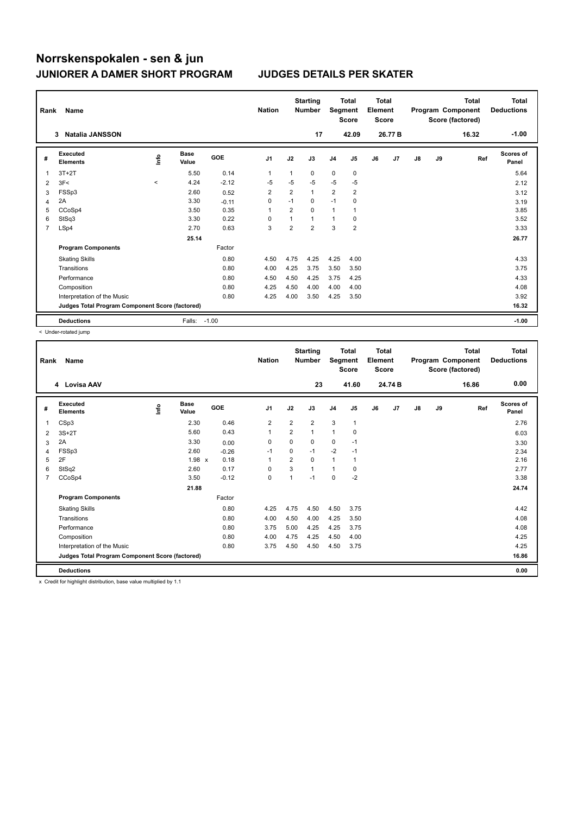| Rank           | Name                                            |             | <b>Nation</b>        |            | <b>Starting</b><br><b>Number</b> | Segment        | <b>Total</b><br><b>Score</b> | <b>Total</b><br>Element<br><b>Score</b> |                         |    |         | <b>Total</b><br>Program Component<br>Score (factored) | Total<br><b>Deductions</b> |       |                    |
|----------------|-------------------------------------------------|-------------|----------------------|------------|----------------------------------|----------------|------------------------------|-----------------------------------------|-------------------------|----|---------|-------------------------------------------------------|----------------------------|-------|--------------------|
|                | <b>Natalia JANSSON</b><br>3                     |             |                      |            |                                  |                | 17                           |                                         | 42.09                   |    | 26.77 B |                                                       |                            | 16.32 | $-1.00$            |
| #              | Executed<br><b>Elements</b>                     | <u>info</u> | <b>Base</b><br>Value | <b>GOE</b> | J <sub>1</sub>                   | J2             | J3                           | J <sub>4</sub>                          | J <sub>5</sub>          | J6 | J7      | $\mathsf{J}8$                                         | J9                         | Ref   | Scores of<br>Panel |
| 1              | $3T+2T$                                         |             | 5.50                 | 0.14       | 1                                | 1              | $\mathbf 0$                  | $\mathbf 0$                             | $\mathbf 0$             |    |         |                                                       |                            |       | 5.64               |
| $\overline{2}$ | 3F<                                             | $\hat{~}$   | 4.24                 | $-2.12$    | $-5$                             | $-5$           | $-5$                         | $-5$                                    | $-5$                    |    |         |                                                       |                            |       | 2.12               |
| 3              | FSSp3                                           |             | 2.60                 | 0.52       | $\overline{2}$                   | $\overline{2}$ | $\mathbf{1}$                 | $\overline{2}$                          | $\overline{\mathbf{c}}$ |    |         |                                                       |                            |       | 3.12               |
| 4              | 2A                                              |             | 3.30                 | $-0.11$    | 0                                | $-1$           | $\mathbf 0$                  | $-1$                                    | $\mathbf 0$             |    |         |                                                       |                            |       | 3.19               |
| 5              | CCoSp4                                          |             | 3.50                 | 0.35       | 1                                | $\overline{2}$ | $\Omega$                     | $\mathbf{1}$                            | $\overline{1}$          |    |         |                                                       |                            |       | 3.85               |
| 6              | StSq3                                           |             | 3.30                 | 0.22       | 0                                | 1              | $\mathbf{1}$                 | $\mathbf{1}$                            | 0                       |    |         |                                                       |                            |       | 3.52               |
| $\overline{7}$ | LSp4                                            |             | 2.70                 | 0.63       | 3                                | $\overline{2}$ | $\overline{2}$               | 3                                       | $\overline{\mathbf{c}}$ |    |         |                                                       |                            |       | 3.33               |
|                |                                                 |             | 25.14                |            |                                  |                |                              |                                         |                         |    |         |                                                       |                            |       | 26.77              |
|                | <b>Program Components</b>                       |             |                      | Factor     |                                  |                |                              |                                         |                         |    |         |                                                       |                            |       |                    |
|                | <b>Skating Skills</b>                           |             |                      | 0.80       | 4.50                             | 4.75           | 4.25                         | 4.25                                    | 4.00                    |    |         |                                                       |                            |       | 4.33               |
|                | Transitions                                     |             |                      | 0.80       | 4.00                             | 4.25           | 3.75                         | 3.50                                    | 3.50                    |    |         |                                                       |                            |       | 3.75               |
|                | Performance                                     |             |                      | 0.80       | 4.50                             | 4.50           | 4.25                         | 3.75                                    | 4.25                    |    |         |                                                       |                            |       | 4.33               |
|                | Composition                                     |             |                      | 0.80       | 4.25                             | 4.50           | 4.00                         | 4.00                                    | 4.00                    |    |         |                                                       |                            |       | 4.08               |
|                | Interpretation of the Music                     |             |                      | 0.80       | 4.25                             | 4.00           | 3.50                         | 4.25                                    | 3.50                    |    |         |                                                       |                            |       | 3.92               |
|                | Judges Total Program Component Score (factored) |             |                      |            |                                  |                |                              |                                         |                         |    |         |                                                       |                            |       | 16.32              |
|                | <b>Deductions</b>                               |             | Falls:               | $-1.00$    |                                  |                |                              |                                         |                         |    |         |                                                       |                            |       | $-1.00$            |

< Under-rotated jump

| Rank           | Name<br>Lovisa AAV<br>4                         |      |                      |         | <b>Nation</b>  |                | <b>Starting</b><br><b>Number</b> | Segment        | Total<br><b>Score</b> | Total<br>Element<br><b>Score</b> |                |    |    | <b>Total</b><br>Program Component<br>Score (factored) | <b>Total</b><br><b>Deductions</b> |
|----------------|-------------------------------------------------|------|----------------------|---------|----------------|----------------|----------------------------------|----------------|-----------------------|----------------------------------|----------------|----|----|-------------------------------------------------------|-----------------------------------|
|                |                                                 |      |                      |         |                |                | 23                               |                | 41.60                 |                                  | 24.74 B        |    |    | 16.86                                                 | 0.00                              |
| #              | <b>Executed</b><br><b>Elements</b>              | ١nf٥ | <b>Base</b><br>Value | GOE     | J <sub>1</sub> | J2             | J3                               | J <sub>4</sub> | J5                    | J6                               | J <sub>7</sub> | J8 | J9 | Ref                                                   | <b>Scores of</b><br>Panel         |
| 1              | CSp3                                            |      | 2.30                 | 0.46    | 2              | 2              | $\overline{2}$                   | $\mathbf{3}$   | $\mathbf{1}$          |                                  |                |    |    |                                                       | 2.76                              |
| 2              | $3S+2T$                                         |      | 5.60                 | 0.43    | 1              | $\overline{2}$ | 1                                | $\mathbf{1}$   | $\mathbf 0$           |                                  |                |    |    |                                                       | 6.03                              |
| 3              | 2A                                              |      | 3.30                 | 0.00    | 0              | 0              | 0                                | 0              | $-1$                  |                                  |                |    |    |                                                       | 3.30                              |
| 4              | FSSp3                                           |      | 2.60                 | $-0.26$ | $-1$           | 0              | $-1$                             | $-2$           | $-1$                  |                                  |                |    |    |                                                       | 2.34                              |
| 5              | 2F                                              |      | $1.98 \times$        | 0.18    | 1              | $\overline{2}$ | $\Omega$                         | $\mathbf{1}$   | 1                     |                                  |                |    |    |                                                       | 2.16                              |
| 6              | StSq2                                           |      | 2.60                 | 0.17    | 0              | 3              | $\mathbf{1}$                     | $\mathbf{1}$   | 0                     |                                  |                |    |    |                                                       | 2.77                              |
| $\overline{7}$ | CCoSp4                                          |      | 3.50                 | $-0.12$ | $\mathbf 0$    | $\mathbf{1}$   | $-1$                             | $\mathbf 0$    | $-2$                  |                                  |                |    |    |                                                       | 3.38                              |
|                |                                                 |      | 21.88                |         |                |                |                                  |                |                       |                                  |                |    |    |                                                       | 24.74                             |
|                | <b>Program Components</b>                       |      |                      | Factor  |                |                |                                  |                |                       |                                  |                |    |    |                                                       |                                   |
|                | <b>Skating Skills</b>                           |      |                      | 0.80    | 4.25           | 4.75           | 4.50                             | 4.50           | 3.75                  |                                  |                |    |    |                                                       | 4.42                              |
|                | Transitions                                     |      |                      | 0.80    | 4.00           | 4.50           | 4.00                             | 4.25           | 3.50                  |                                  |                |    |    |                                                       | 4.08                              |
|                | Performance                                     |      |                      | 0.80    | 3.75           | 5.00           | 4.25                             | 4.25           | 3.75                  |                                  |                |    |    |                                                       | 4.08                              |
|                | Composition                                     |      |                      | 0.80    | 4.00           | 4.75           | 4.25                             | 4.50           | 4.00                  |                                  |                |    |    |                                                       | 4.25                              |
|                | Interpretation of the Music                     |      |                      | 0.80    | 3.75           | 4.50           | 4.50                             | 4.50           | 3.75                  |                                  |                |    |    |                                                       | 4.25                              |
|                | Judges Total Program Component Score (factored) |      |                      |         |                |                |                                  |                |                       |                                  |                |    |    |                                                       | 16.86                             |
|                | <b>Deductions</b>                               |      |                      |         |                |                |                                  |                |                       |                                  |                |    |    |                                                       | 0.00                              |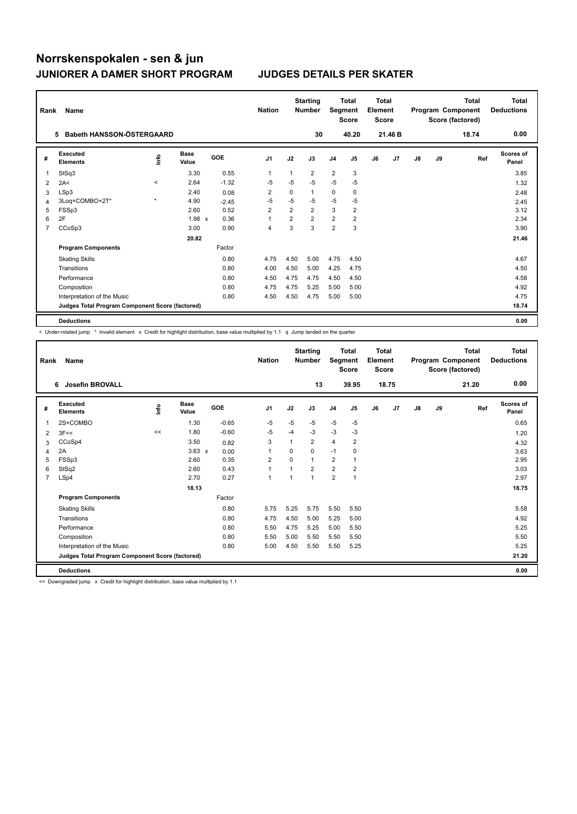| Rank           | Name                                            |                      |                      |         | <b>Nation</b>  |                | <b>Starting</b><br><b>Number</b> | Segment        | Total<br><b>Score</b>   | <b>Total</b><br>Element<br>Score |                |               |    | <b>Total</b><br>Program Component<br>Score (factored) | Total<br><b>Deductions</b> |
|----------------|-------------------------------------------------|----------------------|----------------------|---------|----------------|----------------|----------------------------------|----------------|-------------------------|----------------------------------|----------------|---------------|----|-------------------------------------------------------|----------------------------|
|                | Babeth HANSSON-ÖSTERGAARD<br>5                  |                      |                      |         |                |                | 30                               |                | 40.20                   |                                  | 21.46 B        |               |    | 18.74                                                 | 0.00                       |
| #              | Executed<br><b>Elements</b>                     | <b>Lin</b>           | <b>Base</b><br>Value | GOE     | J <sub>1</sub> | J2             | J3                               | J <sub>4</sub> | J <sub>5</sub>          | J6                               | J <sub>7</sub> | $\mathsf{J}8$ | J9 | Ref                                                   | Scores of<br>Panel         |
| 1              | StSq3                                           |                      | 3.30                 | 0.55    | 1              | 1              | $\overline{2}$                   | $\overline{2}$ | 3                       |                                  |                |               |    |                                                       | 3.85                       |
| 2              | 2A<                                             | $\prec$              | 2.64                 | $-1.32$ | $-5$           | $-5$           | $-5$                             | $-5$           | $-5$                    |                                  |                |               |    |                                                       | 1.32                       |
| 3              | LSp3                                            |                      | 2.40                 | 0.08    | $\overline{2}$ | 0              | 1                                | 0              | 0                       |                                  |                |               |    |                                                       | 2.48                       |
| 4              | 3Loq+COMBO+2T*                                  | $\ddot{\phantom{1}}$ | 4.90                 | $-2.45$ | $-5$           | $-5$           | $-5$                             | $-5$           | $-5$                    |                                  |                |               |    |                                                       | 2.45                       |
| 5              | FSSp3                                           |                      | 2.60                 | 0.52    | $\overline{2}$ | $\overline{2}$ | $\overline{2}$                   | 3              | $\overline{2}$          |                                  |                |               |    |                                                       | 3.12                       |
| 6              | 2F                                              |                      | 1.98 x               | 0.36    | 1              | $\overline{2}$ | $\overline{2}$                   | $\overline{2}$ | $\overline{\mathbf{c}}$ |                                  |                |               |    |                                                       | 2.34                       |
| $\overline{7}$ | CCoSp3                                          |                      | 3.00                 | 0.90    | $\overline{4}$ | 3              | 3                                | $\overline{2}$ | 3                       |                                  |                |               |    |                                                       | 3.90                       |
|                |                                                 |                      | 20.82                |         |                |                |                                  |                |                         |                                  |                |               |    |                                                       | 21.46                      |
|                | <b>Program Components</b>                       |                      |                      | Factor  |                |                |                                  |                |                         |                                  |                |               |    |                                                       |                            |
|                | <b>Skating Skills</b>                           |                      |                      | 0.80    | 4.75           | 4.50           | 5.00                             | 4.75           | 4.50                    |                                  |                |               |    |                                                       | 4.67                       |
|                | Transitions                                     |                      |                      | 0.80    | 4.00           | 4.50           | 5.00                             | 4.25           | 4.75                    |                                  |                |               |    |                                                       | 4.50                       |
|                | Performance                                     |                      |                      | 0.80    | 4.50           | 4.75           | 4.75                             | 4.50           | 4.50                    |                                  |                |               |    |                                                       | 4.58                       |
|                | Composition                                     |                      |                      | 0.80    | 4.75           | 4.75           | 5.25                             | 5.00           | 5.00                    |                                  |                |               |    |                                                       | 4.92                       |
|                | Interpretation of the Music                     |                      |                      | 0.80    | 4.50           | 4.50           | 4.75                             | 5.00           | 5.00                    |                                  |                |               |    |                                                       | 4.75                       |
|                | Judges Total Program Component Score (factored) |                      |                      |         |                |                |                                  |                |                         |                                  |                |               |    |                                                       | 18.74                      |
|                | <b>Deductions</b>                               |                      |                      |         |                |                |                                  |                |                         |                                  |                |               |    |                                                       | 0.00                       |

< Under-rotated jump \* Invalid element x Credit for highlight distribution, base value multiplied by 1.1 q Jump landed on the quarter

| Rank | Name                                            |       |                      |         | <b>Nation</b>           |          | <b>Starting</b><br><b>Number</b> | Segment        | <b>Total</b><br><b>Score</b> | <b>Total</b><br>Element<br><b>Score</b> |                |    |    | <b>Total</b><br>Program Component<br>Score (factored) | <b>Total</b><br><b>Deductions</b> |
|------|-------------------------------------------------|-------|----------------------|---------|-------------------------|----------|----------------------------------|----------------|------------------------------|-----------------------------------------|----------------|----|----|-------------------------------------------------------|-----------------------------------|
|      | Josefin BROVALL<br>6                            |       |                      |         |                         |          | 13                               |                | 39.95                        |                                         | 18.75          |    |    | 21.20                                                 | 0.00                              |
| #    | Executed<br><b>Elements</b>                     | Linfo | <b>Base</b><br>Value | GOE     | J <sub>1</sub>          | J2       | J3                               | J <sub>4</sub> | J <sub>5</sub>               | J6                                      | J <sub>7</sub> | J8 | J9 | Ref                                                   | <b>Scores of</b><br>Panel         |
| 1    | 2S+COMBO                                        |       | 1.30                 | $-0.65$ | -5                      | $-5$     | $-5$                             | $-5$           | $-5$                         |                                         |                |    |    |                                                       | 0.65                              |
| 2    | 3F<<                                            | <<    | 1.80                 | $-0.60$ | -5                      | $-4$     | $-3$                             | $-3$           | $-3$                         |                                         |                |    |    |                                                       | 1.20                              |
| 3    | CCoSp4                                          |       | 3.50                 | 0.82    | 3                       |          | $\overline{2}$                   | $\overline{4}$ | $\overline{2}$               |                                         |                |    |    |                                                       | 4.32                              |
| 4    | 2A                                              |       | $3.63 \times$        | 0.00    | $\mathbf{1}$            | $\Omega$ | 0                                | $-1$           | $\mathbf 0$                  |                                         |                |    |    |                                                       | 3.63                              |
| 5    | FSSp3                                           |       | 2.60                 | 0.35    | $\overline{\mathbf{c}}$ | $\Omega$ | 1                                | $\overline{2}$ | $\mathbf{1}$                 |                                         |                |    |    |                                                       | 2.95                              |
| 6    | StSq2                                           |       | 2.60                 | 0.43    | $\mathbf{1}$            |          | $\overline{2}$                   | $\overline{2}$ | $\overline{\mathbf{c}}$      |                                         |                |    |    |                                                       | 3.03                              |
| 7    | LSp4                                            |       | 2.70                 | 0.27    | $\mathbf{1}$            |          | $\mathbf{1}$                     | $\overline{2}$ | $\mathbf{1}$                 |                                         |                |    |    |                                                       | 2.97                              |
|      |                                                 |       | 18.13                |         |                         |          |                                  |                |                              |                                         |                |    |    |                                                       | 18.75                             |
|      | <b>Program Components</b>                       |       |                      | Factor  |                         |          |                                  |                |                              |                                         |                |    |    |                                                       |                                   |
|      | <b>Skating Skills</b>                           |       |                      | 0.80    | 5.75                    | 5.25     | 5.75                             | 5.50           | 5.50                         |                                         |                |    |    |                                                       | 5.58                              |
|      | Transitions                                     |       |                      | 0.80    | 4.75                    | 4.50     | 5.00                             | 5.25           | 5.00                         |                                         |                |    |    |                                                       | 4.92                              |
|      | Performance                                     |       |                      | 0.80    | 5.50                    | 4.75     | 5.25                             | 5.00           | 5.50                         |                                         |                |    |    |                                                       | 5.25                              |
|      | Composition                                     |       |                      | 0.80    | 5.50                    | 5.00     | 5.50                             | 5.50           | 5.50                         |                                         |                |    |    |                                                       | 5.50                              |
|      | Interpretation of the Music                     |       |                      | 0.80    | 5.00                    | 4.50     | 5.50                             | 5.50           | 5.25                         |                                         |                |    |    |                                                       | 5.25                              |
|      | Judges Total Program Component Score (factored) |       |                      |         |                         |          |                                  |                |                              |                                         |                |    |    |                                                       | 21.20                             |
|      | <b>Deductions</b>                               |       |                      |         |                         |          |                                  |                |                              |                                         |                |    |    |                                                       | 0.00                              |

<< Downgraded jump x Credit for highlight distribution, base value multiplied by 1.1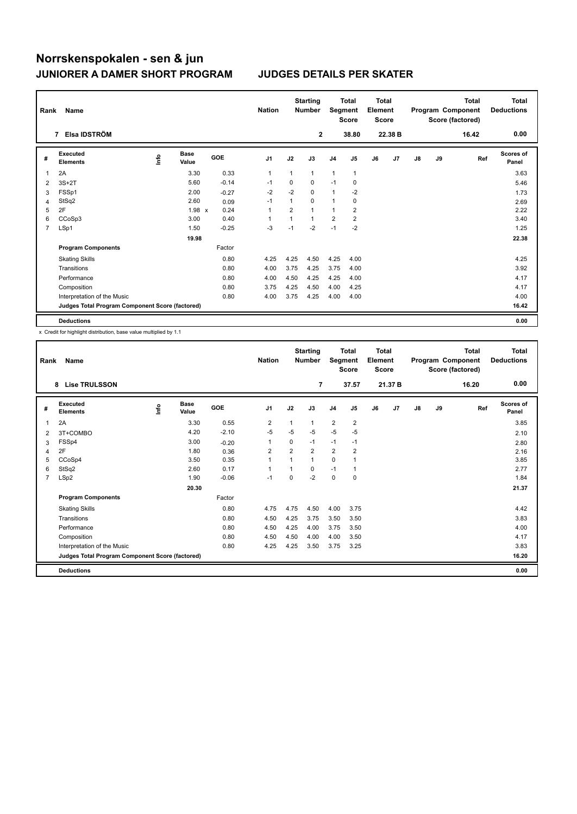| Rank | Name                                            |      |                      |            | <b>Nation</b>  |                | <b>Starting</b><br><b>Number</b> | Segment        | <b>Total</b><br><b>Score</b> | <b>Total</b><br>Element<br><b>Score</b> |         |    |    | <b>Total</b><br>Program Component<br>Score (factored) | <b>Total</b><br><b>Deductions</b> |
|------|-------------------------------------------------|------|----------------------|------------|----------------|----------------|----------------------------------|----------------|------------------------------|-----------------------------------------|---------|----|----|-------------------------------------------------------|-----------------------------------|
|      | Elsa IDSTRÖM<br>7                               |      |                      |            |                |                | 2                                |                | 38.80                        |                                         | 22.38 B |    |    | 16.42                                                 | 0.00                              |
| #    | <b>Executed</b><br><b>Elements</b>              | ١nfo | <b>Base</b><br>Value | <b>GOE</b> | J <sub>1</sub> | J2             | J3                               | J <sub>4</sub> | J <sub>5</sub>               | J6                                      | J7      | J8 | J9 | Ref                                                   | <b>Scores of</b><br>Panel         |
| 1    | 2A                                              |      | 3.30                 | 0.33       | $\mathbf{1}$   | 1              | 1                                | 1              | $\mathbf{1}$                 |                                         |         |    |    |                                                       | 3.63                              |
| 2    | $3S+2T$                                         |      | 5.60                 | $-0.14$    | $-1$           | $\Omega$       | $\Omega$                         | $-1$           | 0                            |                                         |         |    |    |                                                       | 5.46                              |
| 3    | FSSp1                                           |      | 2.00                 | $-0.27$    | $-2$           | $-2$           | 0                                | 1              | $-2$                         |                                         |         |    |    |                                                       | 1.73                              |
| 4    | StSq2                                           |      | 2.60                 | 0.09       | $-1$           | 1              | $\Omega$                         | 1              | 0                            |                                         |         |    |    |                                                       | 2.69                              |
| 5    | 2F                                              |      | $1.98 \times$        | 0.24       | $\mathbf{1}$   | $\overline{2}$ | $\overline{1}$                   | $\mathbf{1}$   | $\overline{2}$               |                                         |         |    |    |                                                       | 2.22                              |
| 6    | CCoSp3                                          |      | 3.00                 | 0.40       | 1              | 1              | $\mathbf{1}$                     | $\overline{2}$ | $\overline{\mathbf{c}}$      |                                         |         |    |    |                                                       | 3.40                              |
| 7    | LSp1                                            |      | 1.50                 | $-0.25$    | $-3$           | $-1$           | $-2$                             | $-1$           | $-2$                         |                                         |         |    |    |                                                       | 1.25                              |
|      |                                                 |      | 19.98                |            |                |                |                                  |                |                              |                                         |         |    |    |                                                       | 22.38                             |
|      | <b>Program Components</b>                       |      |                      | Factor     |                |                |                                  |                |                              |                                         |         |    |    |                                                       |                                   |
|      | <b>Skating Skills</b>                           |      |                      | 0.80       | 4.25           | 4.25           | 4.50                             | 4.25           | 4.00                         |                                         |         |    |    |                                                       | 4.25                              |
|      | Transitions                                     |      |                      | 0.80       | 4.00           | 3.75           | 4.25                             | 3.75           | 4.00                         |                                         |         |    |    |                                                       | 3.92                              |
|      | Performance                                     |      |                      | 0.80       | 4.00           | 4.50           | 4.25                             | 4.25           | 4.00                         |                                         |         |    |    |                                                       | 4.17                              |
|      | Composition                                     |      |                      | 0.80       | 3.75           | 4.25           | 4.50                             | 4.00           | 4.25                         |                                         |         |    |    |                                                       | 4.17                              |
|      | Interpretation of the Music                     |      |                      | 0.80       | 4.00           | 3.75           | 4.25                             | 4.00           | 4.00                         |                                         |         |    |    |                                                       | 4.00                              |
|      | Judges Total Program Component Score (factored) |      |                      |            |                |                |                                  |                |                              |                                         |         |    |    |                                                       | 16.42                             |
|      | <b>Deductions</b>                               |      |                      |            |                |                |                                  |                |                              |                                         |         |    |    |                                                       | 0.00                              |

| Rank           | Name                                            |      |                      |            | <b>Nation</b>  |                | <b>Starting</b><br><b>Number</b> | Segment        | <b>Total</b><br><b>Score</b> | Total<br>Element<br><b>Score</b> |         |               |    | <b>Total</b><br>Program Component<br>Score (factored) | <b>Total</b><br><b>Deductions</b> |
|----------------|-------------------------------------------------|------|----------------------|------------|----------------|----------------|----------------------------------|----------------|------------------------------|----------------------------------|---------|---------------|----|-------------------------------------------------------|-----------------------------------|
|                | <b>Lise TRULSSON</b><br>8                       |      |                      |            |                |                | $\overline{7}$                   |                | 37.57                        |                                  | 21.37 B |               |    | 16.20                                                 | 0.00                              |
| #              | Executed<br><b>Elements</b>                     | lnfo | <b>Base</b><br>Value | <b>GOE</b> | J1             | J2             | J3                               | J <sub>4</sub> | J5                           | J6                               | J7      | $\mathsf{J}8$ | J9 | Ref                                                   | <b>Scores of</b><br>Panel         |
| 1              | 2A                                              |      | 3.30                 | 0.55       | $\overline{2}$ | 1              | 1                                | $\overline{2}$ | $\overline{2}$               |                                  |         |               |    |                                                       | 3.85                              |
| 2              | 3T+COMBO                                        |      | 4.20                 | $-2.10$    | $-5$           | $-5$           | $-5$                             | $-5$           | $-5$                         |                                  |         |               |    |                                                       | 2.10                              |
| 3              | FSSp4                                           |      | 3.00                 | $-0.20$    | 1              | 0              | $-1$                             | $-1$           | $-1$                         |                                  |         |               |    |                                                       | 2.80                              |
| 4              | 2F                                              |      | 1.80                 | 0.36       | $\overline{2}$ | $\overline{2}$ | $\overline{2}$                   | $\overline{2}$ | $\overline{2}$               |                                  |         |               |    |                                                       | 2.16                              |
| 5              | CCoSp4                                          |      | 3.50                 | 0.35       | 1              | $\overline{1}$ | 1                                | $\Omega$       | 1                            |                                  |         |               |    |                                                       | 3.85                              |
| 6              | StSq2                                           |      | 2.60                 | 0.17       | 1              |                | $\Omega$                         | $-1$           | 1                            |                                  |         |               |    |                                                       | 2.77                              |
| $\overline{7}$ | LSp2                                            |      | 1.90                 | $-0.06$    | $-1$           | $\Omega$       | $-2$                             | 0              | 0                            |                                  |         |               |    |                                                       | 1.84                              |
|                |                                                 |      | 20.30                |            |                |                |                                  |                |                              |                                  |         |               |    |                                                       | 21.37                             |
|                | <b>Program Components</b>                       |      |                      | Factor     |                |                |                                  |                |                              |                                  |         |               |    |                                                       |                                   |
|                | <b>Skating Skills</b>                           |      |                      | 0.80       | 4.75           | 4.75           | 4.50                             | 4.00           | 3.75                         |                                  |         |               |    |                                                       | 4.42                              |
|                | Transitions                                     |      |                      | 0.80       | 4.50           | 4.25           | 3.75                             | 3.50           | 3.50                         |                                  |         |               |    |                                                       | 3.83                              |
|                | Performance                                     |      |                      | 0.80       | 4.50           | 4.25           | 4.00                             | 3.75           | 3.50                         |                                  |         |               |    |                                                       | 4.00                              |
|                | Composition                                     |      |                      | 0.80       | 4.50           | 4.50           | 4.00                             | 4.00           | 3.50                         |                                  |         |               |    |                                                       | 4.17                              |
|                | Interpretation of the Music                     |      |                      | 0.80       | 4.25           | 4.25           | 3.50                             | 3.75           | 3.25                         |                                  |         |               |    |                                                       | 3.83                              |
|                | Judges Total Program Component Score (factored) |      |                      |            |                |                |                                  |                |                              |                                  |         |               |    |                                                       | 16.20                             |
|                | <b>Deductions</b>                               |      |                      |            |                |                |                                  |                |                              |                                  |         |               |    |                                                       | 0.00                              |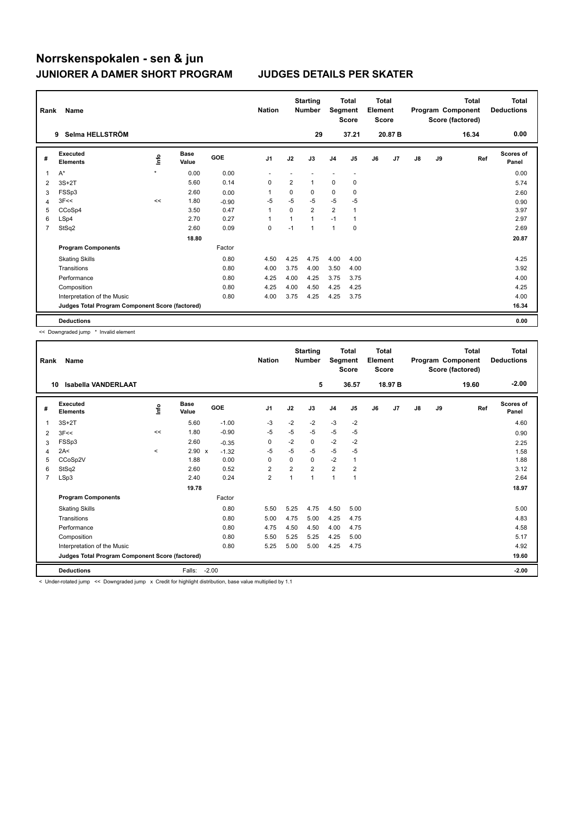| Rank           | Name                                            |             |                      |         | <b>Nation</b>  |                | <b>Starting</b><br><b>Number</b> | Segment        | <b>Total</b><br><b>Score</b> | <b>Total</b><br>Element<br><b>Score</b> |         |               |    | <b>Total</b><br>Program Component<br>Score (factored) | Total<br><b>Deductions</b> |
|----------------|-------------------------------------------------|-------------|----------------------|---------|----------------|----------------|----------------------------------|----------------|------------------------------|-----------------------------------------|---------|---------------|----|-------------------------------------------------------|----------------------------|
|                | Selma HELLSTRÖM<br>9                            |             |                      |         |                |                | 29                               |                | 37.21                        |                                         | 20.87 B |               |    | 16.34                                                 | 0.00                       |
| #              | Executed<br><b>Elements</b>                     | <u>info</u> | <b>Base</b><br>Value | GOE     | J <sub>1</sub> | J2             | J3                               | J <sub>4</sub> | J <sub>5</sub>               | J6                                      | J7      | $\mathsf{J}8$ | J9 | Ref                                                   | Scores of<br>Panel         |
| 1              | A*                                              | $\star$     | 0.00                 | 0.00    |                |                |                                  |                |                              |                                         |         |               |    |                                                       | 0.00                       |
| 2              | $3S+2T$                                         |             | 5.60                 | 0.14    | 0              | $\overline{2}$ | $\mathbf{1}$                     | 0              | 0                            |                                         |         |               |    |                                                       | 5.74                       |
| 3              | FSSp3                                           |             | 2.60                 | 0.00    | 1              | 0              | 0                                | 0              | 0                            |                                         |         |               |    |                                                       | 2.60                       |
| 4              | 3F<<                                            | <<          | 1.80                 | $-0.90$ | $-5$           | $-5$           | $-5$                             | $-5$           | $-5$                         |                                         |         |               |    |                                                       | 0.90                       |
| 5              | CCoSp4                                          |             | 3.50                 | 0.47    | 1              | $\Omega$       | $\overline{2}$                   | $\overline{2}$ | $\overline{1}$               |                                         |         |               |    |                                                       | 3.97                       |
| 6              | LSp4                                            |             | 2.70                 | 0.27    | 1              | 1              | $\mathbf{1}$                     | $-1$           | $\mathbf{1}$                 |                                         |         |               |    |                                                       | 2.97                       |
| $\overline{7}$ | StSq2                                           |             | 2.60                 | 0.09    | 0              | $-1$           | $\mathbf{1}$                     | $\mathbf{1}$   | $\pmb{0}$                    |                                         |         |               |    |                                                       | 2.69                       |
|                |                                                 |             | 18.80                |         |                |                |                                  |                |                              |                                         |         |               |    |                                                       | 20.87                      |
|                | <b>Program Components</b>                       |             |                      | Factor  |                |                |                                  |                |                              |                                         |         |               |    |                                                       |                            |
|                | <b>Skating Skills</b>                           |             |                      | 0.80    | 4.50           | 4.25           | 4.75                             | 4.00           | 4.00                         |                                         |         |               |    |                                                       | 4.25                       |
|                | Transitions                                     |             |                      | 0.80    | 4.00           | 3.75           | 4.00                             | 3.50           | 4.00                         |                                         |         |               |    |                                                       | 3.92                       |
|                | Performance                                     |             |                      | 0.80    | 4.25           | 4.00           | 4.25                             | 3.75           | 3.75                         |                                         |         |               |    |                                                       | 4.00                       |
|                | Composition                                     |             |                      | 0.80    | 4.25           | 4.00           | 4.50                             | 4.25           | 4.25                         |                                         |         |               |    |                                                       | 4.25                       |
|                | Interpretation of the Music                     |             |                      | 0.80    | 4.00           | 3.75           | 4.25                             | 4.25           | 3.75                         |                                         |         |               |    |                                                       | 4.00                       |
|                | Judges Total Program Component Score (factored) |             |                      |         |                |                |                                  |                |                              |                                         |         |               |    |                                                       | 16.34                      |
|                | <b>Deductions</b>                               |             |                      |         |                |                |                                  |                |                              |                                         |         |               |    |                                                       | 0.00                       |

<< Downgraded jump \* Invalid element

| Rank                    | Name                                            |       |                      |         | <b>Nation</b>  |                | <b>Starting</b><br><b>Number</b> | Segment        | <b>Total</b><br><b>Score</b> | Total<br>Element<br><b>Score</b> |         |               |    | <b>Total</b><br>Program Component<br>Score (factored) | <b>Total</b><br><b>Deductions</b> |
|-------------------------|-------------------------------------------------|-------|----------------------|---------|----------------|----------------|----------------------------------|----------------|------------------------------|----------------------------------|---------|---------------|----|-------------------------------------------------------|-----------------------------------|
|                         | <b>Isabella VANDERLAAT</b><br>10                |       |                      |         |                |                | 5                                |                | 36.57                        |                                  | 18.97 B |               |    | 19.60                                                 | $-2.00$                           |
| #                       | Executed<br><b>Elements</b>                     | lnfo  | <b>Base</b><br>Value | GOE     | J <sub>1</sub> | J2             | J3                               | J <sub>4</sub> | J5                           | J6                               | J7      | $\mathsf{J}8$ | J9 | Ref                                                   | <b>Scores of</b><br>Panel         |
| 1                       | $3S+2T$                                         |       | 5.60                 | $-1.00$ | -3             | $-2$           | $-2$                             | $-3$           | $-2$                         |                                  |         |               |    |                                                       | 4.60                              |
| 2                       | 3F<<                                            | <<    | 1.80                 | $-0.90$ | -5             | $-5$           | $-5$                             | $-5$           | $-5$                         |                                  |         |               |    |                                                       | 0.90                              |
| 3                       | FSSp3                                           |       | 2.60                 | $-0.35$ | 0              | $-2$           | 0                                | $-2$           | $-2$                         |                                  |         |               |    |                                                       | 2.25                              |
| $\overline{\mathbf{A}}$ | 2A<                                             | $\,<$ | 2.90 x               | $-1.32$ | $-5$           | $-5$           | $-5$                             | $-5$           | $-5$                         |                                  |         |               |    |                                                       | 1.58                              |
| 5                       | CCoSp2V                                         |       | 1.88                 | 0.00    | 0              | $\Omega$       | $\Omega$                         | $-2$           | 1                            |                                  |         |               |    |                                                       | 1.88                              |
| 6                       | StSq2                                           |       | 2.60                 | 0.52    | $\overline{2}$ | $\overline{2}$ | $\overline{2}$                   | $\overline{2}$ | $\overline{2}$               |                                  |         |               |    |                                                       | 3.12                              |
| $\overline{7}$          | LSp3                                            |       | 2.40                 | 0.24    | $\overline{2}$ | $\overline{1}$ | $\overline{1}$                   | $\overline{1}$ | $\overline{1}$               |                                  |         |               |    |                                                       | 2.64                              |
|                         |                                                 |       | 19.78                |         |                |                |                                  |                |                              |                                  |         |               |    |                                                       | 18.97                             |
|                         | <b>Program Components</b>                       |       |                      | Factor  |                |                |                                  |                |                              |                                  |         |               |    |                                                       |                                   |
|                         | <b>Skating Skills</b>                           |       |                      | 0.80    | 5.50           | 5.25           | 4.75                             | 4.50           | 5.00                         |                                  |         |               |    |                                                       | 5.00                              |
|                         | Transitions                                     |       |                      | 0.80    | 5.00           | 4.75           | 5.00                             | 4.25           | 4.75                         |                                  |         |               |    |                                                       | 4.83                              |
|                         | Performance                                     |       |                      | 0.80    | 4.75           | 4.50           | 4.50                             | 4.00           | 4.75                         |                                  |         |               |    |                                                       | 4.58                              |
|                         | Composition                                     |       |                      | 0.80    | 5.50           | 5.25           | 5.25                             | 4.25           | 5.00                         |                                  |         |               |    |                                                       | 5.17                              |
|                         | Interpretation of the Music                     |       |                      | 0.80    | 5.25           | 5.00           | 5.00                             | 4.25           | 4.75                         |                                  |         |               |    |                                                       | 4.92                              |
|                         | Judges Total Program Component Score (factored) |       |                      |         |                |                |                                  |                |                              |                                  |         |               |    |                                                       | 19.60                             |
|                         | <b>Deductions</b>                               |       | Falls:               | $-2.00$ |                |                |                                  |                |                              |                                  |         |               |    |                                                       | $-2.00$                           |

< Under-rotated jump << Downgraded jump x Credit for highlight distribution, base value multiplied by 1.1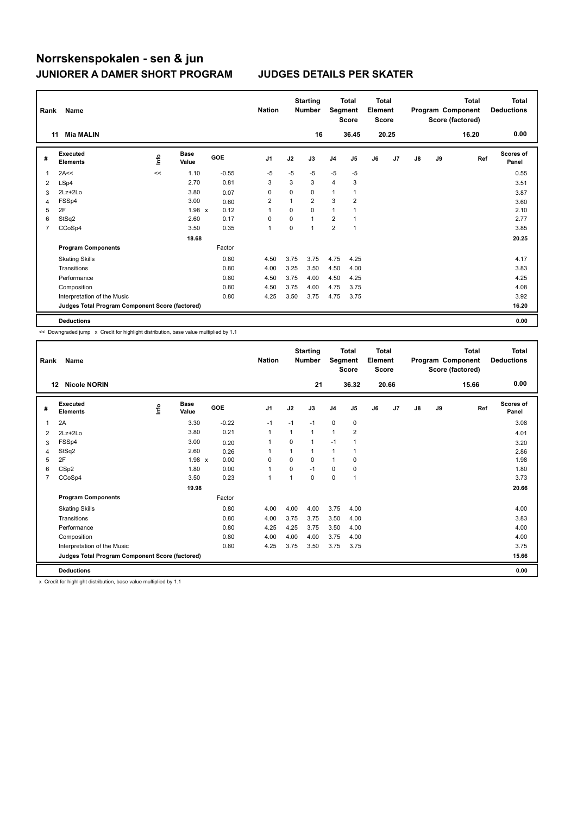| Rank | Name                                            |             |                      |            | <b>Nation</b>  |              | <b>Starting</b><br><b>Number</b> |                | <b>Total</b><br>Segment<br><b>Score</b> | Total<br>Element<br><b>Score</b> |       |               |    | <b>Total</b><br>Program Component<br>Score (factored) | <b>Total</b><br><b>Deductions</b> |
|------|-------------------------------------------------|-------------|----------------------|------------|----------------|--------------|----------------------------------|----------------|-----------------------------------------|----------------------------------|-------|---------------|----|-------------------------------------------------------|-----------------------------------|
|      | <b>Mia MALIN</b><br>11                          |             |                      |            |                |              | 16                               |                | 36.45                                   |                                  | 20.25 |               |    | 16.20                                                 | 0.00                              |
| #    | Executed<br><b>Elements</b>                     | <u>info</u> | <b>Base</b><br>Value | <b>GOE</b> | J <sub>1</sub> | J2           | J3                               | J <sub>4</sub> | J <sub>5</sub>                          | J6                               | J7    | $\mathsf{J}8$ | J9 | Ref                                                   | Scores of<br>Panel                |
| -1   | 2A<<                                            | <<          | 1.10                 | $-0.55$    | $-5$           | $-5$         | $-5$                             | $-5$           | $-5$                                    |                                  |       |               |    |                                                       | 0.55                              |
| 2    | LSp4                                            |             | 2.70                 | 0.81       | 3              | 3            | 3                                | $\overline{4}$ | 3                                       |                                  |       |               |    |                                                       | 3.51                              |
| 3    | 2Lz+2Lo                                         |             | 3.80                 | 0.07       | 0              | 0            | $\mathbf 0$                      | 1              | 1                                       |                                  |       |               |    |                                                       | 3.87                              |
| 4    | FSSp4                                           |             | 3.00                 | 0.60       | $\overline{2}$ | $\mathbf{1}$ | $\overline{2}$                   | 3              | 2                                       |                                  |       |               |    |                                                       | 3.60                              |
| 5    | 2F                                              |             | $1.98 \times$        | 0.12       |                | $\Omega$     | $\mathbf 0$                      | 1              |                                         |                                  |       |               |    |                                                       | 2.10                              |
| 6    | StSq2                                           |             | 2.60                 | 0.17       | 0              | 0            | $\mathbf{1}$                     | $\overline{2}$ | $\overline{1}$                          |                                  |       |               |    |                                                       | 2.77                              |
| 7    | CCoSp4                                          |             | 3.50                 | 0.35       | $\mathbf{1}$   | 0            | $\mathbf{1}$                     | $\overline{2}$ | $\overline{1}$                          |                                  |       |               |    |                                                       | 3.85                              |
|      |                                                 |             | 18.68                |            |                |              |                                  |                |                                         |                                  |       |               |    |                                                       | 20.25                             |
|      | <b>Program Components</b>                       |             |                      | Factor     |                |              |                                  |                |                                         |                                  |       |               |    |                                                       |                                   |
|      | <b>Skating Skills</b>                           |             |                      | 0.80       | 4.50           | 3.75         | 3.75                             | 4.75           | 4.25                                    |                                  |       |               |    |                                                       | 4.17                              |
|      | Transitions                                     |             |                      | 0.80       | 4.00           | 3.25         | 3.50                             | 4.50           | 4.00                                    |                                  |       |               |    |                                                       | 3.83                              |
|      | Performance                                     |             |                      | 0.80       | 4.50           | 3.75         | 4.00                             | 4.50           | 4.25                                    |                                  |       |               |    |                                                       | 4.25                              |
|      | Composition                                     |             |                      | 0.80       | 4.50           | 3.75         | 4.00                             | 4.75           | 3.75                                    |                                  |       |               |    |                                                       | 4.08                              |
|      | Interpretation of the Music                     |             |                      | 0.80       | 4.25           | 3.50         | 3.75                             | 4.75           | 3.75                                    |                                  |       |               |    |                                                       | 3.92                              |
|      | Judges Total Program Component Score (factored) |             |                      |            |                |              |                                  |                |                                         |                                  |       |               |    |                                                       | 16.20                             |
|      | <b>Deductions</b>                               |             |                      |            |                |              |                                  |                |                                         |                                  |       |               |    |                                                       | 0.00                              |

<< Downgraded jump x Credit for highlight distribution, base value multiplied by 1.1

| Rank | Name                                            |      |                      |         | <b>Nation</b>  |                | <b>Starting</b><br><b>Number</b> | Segment        | <b>Total</b><br><b>Score</b> | Total<br>Element<br><b>Score</b> |       |    |    | Total<br>Program Component<br>Score (factored) | <b>Total</b><br><b>Deductions</b> |
|------|-------------------------------------------------|------|----------------------|---------|----------------|----------------|----------------------------------|----------------|------------------------------|----------------------------------|-------|----|----|------------------------------------------------|-----------------------------------|
|      | <b>Nicole NORIN</b><br>$12 \,$                  |      |                      |         |                |                | 21                               |                | 36.32                        |                                  | 20.66 |    |    | 15.66                                          | 0.00                              |
| #    | Executed<br><b>Elements</b>                     | lnfo | <b>Base</b><br>Value | GOE     | J <sub>1</sub> | J2             | J3                               | J <sub>4</sub> | J <sub>5</sub>               | J6                               | J7    | J8 | J9 | Ref                                            | <b>Scores of</b><br>Panel         |
| 1    | 2A                                              |      | 3.30                 | $-0.22$ | $-1$           | $-1$           | $-1$                             | $\mathbf 0$    | 0                            |                                  |       |    |    |                                                | 3.08                              |
| 2    | $2Lz+2Lo$                                       |      | 3.80                 | 0.21    | $\mathbf{1}$   | 1              | 1                                | $\overline{1}$ | $\overline{\mathbf{c}}$      |                                  |       |    |    |                                                | 4.01                              |
| 3    | FSSp4                                           |      | 3.00                 | 0.20    | $\mathbf{1}$   | $\Omega$       | 1                                | $-1$           | 1                            |                                  |       |    |    |                                                | 3.20                              |
| 4    | StSq2                                           |      | 2.60                 | 0.26    | $\mathbf{1}$   | 1              | 1                                | $\mathbf{1}$   | 1                            |                                  |       |    |    |                                                | 2.86                              |
| 5    | 2F                                              |      | $1.98 \times$        | 0.00    | 0              | $\Omega$       | 0                                | $\overline{1}$ | 0                            |                                  |       |    |    |                                                | 1.98                              |
| 6    | CSp2                                            |      | 1.80                 | 0.00    | $\mathbf{1}$   | $\Omega$       | $-1$                             | 0              | 0                            |                                  |       |    |    |                                                | 1.80                              |
| 7    | CCoSp4                                          |      | 3.50                 | 0.23    | $\mathbf{1}$   | $\overline{1}$ | $\Omega$                         | 0              | 1                            |                                  |       |    |    |                                                | 3.73                              |
|      |                                                 |      | 19.98                |         |                |                |                                  |                |                              |                                  |       |    |    |                                                | 20.66                             |
|      | <b>Program Components</b>                       |      |                      | Factor  |                |                |                                  |                |                              |                                  |       |    |    |                                                |                                   |
|      | <b>Skating Skills</b>                           |      |                      | 0.80    | 4.00           | 4.00           | 4.00                             | 3.75           | 4.00                         |                                  |       |    |    |                                                | 4.00                              |
|      | Transitions                                     |      |                      | 0.80    | 4.00           | 3.75           | 3.75                             | 3.50           | 4.00                         |                                  |       |    |    |                                                | 3.83                              |
|      | Performance                                     |      |                      | 0.80    | 4.25           | 4.25           | 3.75                             | 3.50           | 4.00                         |                                  |       |    |    |                                                | 4.00                              |
|      | Composition                                     |      |                      | 0.80    | 4.00           | 4.00           | 4.00                             | 3.75           | 4.00                         |                                  |       |    |    |                                                | 4.00                              |
|      | Interpretation of the Music                     |      |                      | 0.80    | 4.25           | 3.75           | 3.50                             | 3.75           | 3.75                         |                                  |       |    |    |                                                | 3.75                              |
|      | Judges Total Program Component Score (factored) |      |                      |         |                |                |                                  |                |                              |                                  |       |    |    |                                                | 15.66                             |
|      | <b>Deductions</b>                               |      |                      |         |                |                |                                  |                |                              |                                  |       |    |    |                                                | 0.00                              |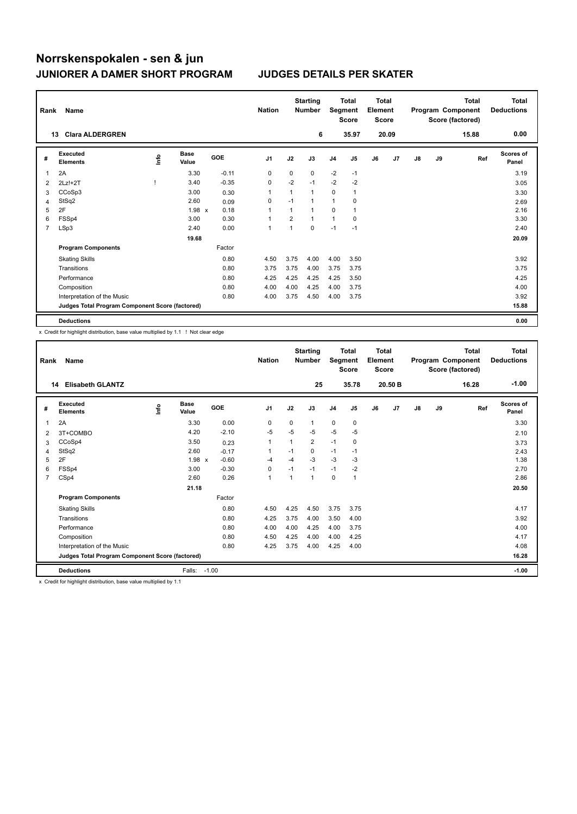| Rank | Name                                            |            |                      |            | <b>Nation</b>  |                | <b>Starting</b><br><b>Number</b> | Segment        | <b>Total</b><br><b>Score</b> | <b>Total</b><br>Element<br><b>Score</b> |       |               |    | <b>Total</b><br>Program Component<br>Score (factored) | <b>Total</b><br><b>Deductions</b> |
|------|-------------------------------------------------|------------|----------------------|------------|----------------|----------------|----------------------------------|----------------|------------------------------|-----------------------------------------|-------|---------------|----|-------------------------------------------------------|-----------------------------------|
|      | <b>Clara ALDERGREN</b><br>13                    |            |                      |            |                |                | 6                                |                | 35.97                        |                                         | 20.09 |               |    | 15.88                                                 | 0.00                              |
| #    | Executed<br><b>Elements</b>                     | <b>Lin</b> | <b>Base</b><br>Value | <b>GOE</b> | J <sub>1</sub> | J2             | J3                               | J <sub>4</sub> | J <sub>5</sub>               | J6                                      | J7    | $\mathsf{J}8$ | J9 | Ref                                                   | <b>Scores of</b><br>Panel         |
|      | 2A                                              |            | 3.30                 | $-0.11$    | 0              | 0              | $\mathbf 0$                      | $-2$           | $-1$                         |                                         |       |               |    |                                                       | 3.19                              |
| 2    | $2Lz!+2T$                                       |            | 3.40                 | $-0.35$    | 0              | $-2$           | $-1$                             | $-2$           | $-2$                         |                                         |       |               |    |                                                       | 3.05                              |
| 3    | CCoSp3                                          |            | 3.00                 | 0.30       | 1              | 1              | $\mathbf{1}$                     | $\mathbf 0$    | $\overline{1}$               |                                         |       |               |    |                                                       | 3.30                              |
| 4    | StSq2                                           |            | 2.60                 | 0.09       | 0              | $-1$           | $\mathbf{1}$                     | 1              | 0                            |                                         |       |               |    |                                                       | 2.69                              |
| 5    | 2F                                              |            | $1.98 \times$        | 0.18       | 1              | 1              | $\mathbf{1}$                     | 0              | $\overline{\mathbf{1}}$      |                                         |       |               |    |                                                       | 2.16                              |
| 6    | FSSp4                                           |            | 3.00                 | 0.30       | 1              | $\overline{2}$ | $\mathbf{1}$                     | $\mathbf{1}$   | 0                            |                                         |       |               |    |                                                       | 3.30                              |
| 7    | LSp3                                            |            | 2.40                 | 0.00       | 1              | 1              | $\mathbf 0$                      | $-1$           | $-1$                         |                                         |       |               |    |                                                       | 2.40                              |
|      |                                                 |            | 19.68                |            |                |                |                                  |                |                              |                                         |       |               |    |                                                       | 20.09                             |
|      | <b>Program Components</b>                       |            |                      | Factor     |                |                |                                  |                |                              |                                         |       |               |    |                                                       |                                   |
|      | <b>Skating Skills</b>                           |            |                      | 0.80       | 4.50           | 3.75           | 4.00                             | 4.00           | 3.50                         |                                         |       |               |    |                                                       | 3.92                              |
|      | Transitions                                     |            |                      | 0.80       | 3.75           | 3.75           | 4.00                             | 3.75           | 3.75                         |                                         |       |               |    |                                                       | 3.75                              |
|      | Performance                                     |            |                      | 0.80       | 4.25           | 4.25           | 4.25                             | 4.25           | 3.50                         |                                         |       |               |    |                                                       | 4.25                              |
|      | Composition                                     |            |                      | 0.80       | 4.00           | 4.00           | 4.25                             | 4.00           | 3.75                         |                                         |       |               |    |                                                       | 4.00                              |
|      | Interpretation of the Music                     |            |                      | 0.80       | 4.00           | 3.75           | 4.50                             | 4.00           | 3.75                         |                                         |       |               |    |                                                       | 3.92                              |
|      | Judges Total Program Component Score (factored) |            |                      |            |                |                |                                  |                |                              |                                         |       |               |    |                                                       | 15.88                             |
|      | <b>Deductions</b>                               |            |                      |            |                |                |                                  |                |                              |                                         |       |               |    |                                                       | 0.00                              |

x Credit for highlight distribution, base value multiplied by 1.1 ! Not clear edge

| Rank           | Name                                            |      |                      |         | <b>Nation</b>  |                         | <b>Starting</b><br><b>Number</b> | Segment        | Total<br><b>Score</b> | <b>Total</b><br>Element<br><b>Score</b> |         |    |    | Total<br>Program Component<br>Score (factored) | <b>Total</b><br><b>Deductions</b> |
|----------------|-------------------------------------------------|------|----------------------|---------|----------------|-------------------------|----------------------------------|----------------|-----------------------|-----------------------------------------|---------|----|----|------------------------------------------------|-----------------------------------|
|                | <b>Elisabeth GLANTZ</b><br>14                   |      |                      |         |                |                         | 25                               |                | 35.78                 |                                         | 20.50 B |    |    | 16.28                                          | $-1.00$                           |
| #              | Executed<br><b>Elements</b>                     | ١nf٥ | <b>Base</b><br>Value | GOE     | J <sub>1</sub> | J2                      | J3                               | J <sub>4</sub> | J5                    | J6                                      | J7      | J8 | J9 | Ref                                            | <b>Scores of</b><br>Panel         |
| 1              | 2A                                              |      | 3.30                 | 0.00    | 0              | 0                       | $\mathbf{1}$                     | 0              | 0                     |                                         |         |    |    |                                                | 3.30                              |
| $\overline{2}$ | 3T+COMBO                                        |      | 4.20                 | $-2.10$ | $-5$           | $-5$                    | $-5$                             | $-5$           | $-5$                  |                                         |         |    |    |                                                | 2.10                              |
| 3              | CCoSp4                                          |      | 3.50                 | 0.23    | 1              |                         | $\overline{2}$                   | $-1$           | 0                     |                                         |         |    |    |                                                | 3.73                              |
| 4              | StSq2                                           |      | 2.60                 | $-0.17$ | 1              | $-1$                    | 0                                | $-1$           | $-1$                  |                                         |         |    |    |                                                | 2.43                              |
| 5              | 2F                                              |      | $1.98 \times$        | $-0.60$ | $-4$           | $-4$                    | $-3$                             | $-3$           | -3                    |                                         |         |    |    |                                                | 1.38                              |
| 6              | FSSp4                                           |      | 3.00                 | $-0.30$ | $\mathbf 0$    | $-1$                    | $-1$                             | $-1$           | $-2$                  |                                         |         |    |    |                                                | 2.70                              |
| $\overline{7}$ | CSp4                                            |      | 2.60                 | 0.26    | $\mathbf{1}$   | $\overline{\mathbf{1}}$ | 1                                | $\mathbf 0$    | 1                     |                                         |         |    |    |                                                | 2.86                              |
|                |                                                 |      | 21.18                |         |                |                         |                                  |                |                       |                                         |         |    |    |                                                | 20.50                             |
|                | <b>Program Components</b>                       |      |                      | Factor  |                |                         |                                  |                |                       |                                         |         |    |    |                                                |                                   |
|                | <b>Skating Skills</b>                           |      |                      | 0.80    | 4.50           | 4.25                    | 4.50                             | 3.75           | 3.75                  |                                         |         |    |    |                                                | 4.17                              |
|                | Transitions                                     |      |                      | 0.80    | 4.25           | 3.75                    | 4.00                             | 3.50           | 4.00                  |                                         |         |    |    |                                                | 3.92                              |
|                | Performance                                     |      |                      | 0.80    | 4.00           | 4.00                    | 4.25                             | 4.00           | 3.75                  |                                         |         |    |    |                                                | 4.00                              |
|                | Composition                                     |      |                      | 0.80    | 4.50           | 4.25                    | 4.00                             | 4.00           | 4.25                  |                                         |         |    |    |                                                | 4.17                              |
|                | Interpretation of the Music                     |      |                      | 0.80    | 4.25           | 3.75                    | 4.00                             | 4.25           | 4.00                  |                                         |         |    |    |                                                | 4.08                              |
|                | Judges Total Program Component Score (factored) |      |                      |         |                |                         |                                  |                |                       |                                         |         |    |    |                                                | 16.28                             |
|                | <b>Deductions</b>                               |      | Falls:               | $-1.00$ |                |                         |                                  |                |                       |                                         |         |    |    |                                                | $-1.00$                           |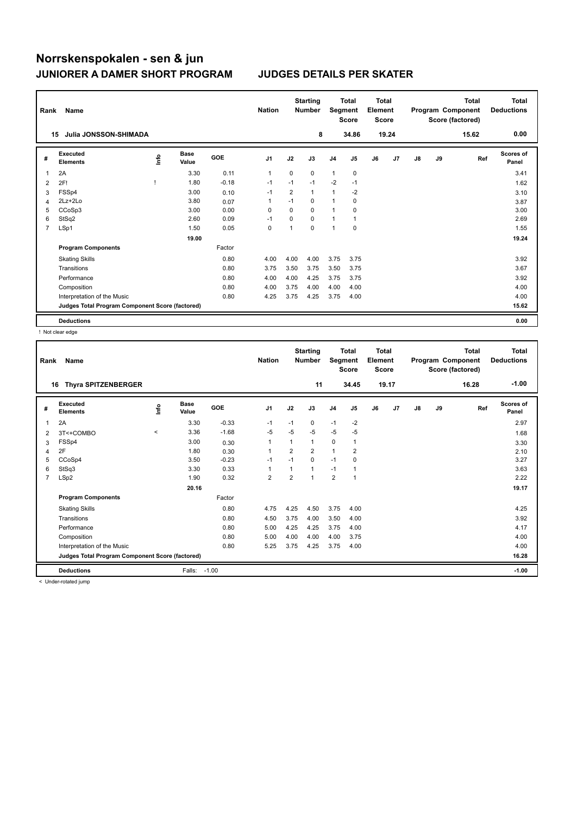| Rank | Name                                            |      |                      |            | <b>Nation</b>  |             | <b>Starting</b><br><b>Number</b> | Segment        | <b>Total</b><br><b>Score</b> | <b>Total</b><br>Element<br><b>Score</b> |       |    |    | <b>Total</b><br>Program Component<br>Score (factored) | <b>Total</b><br><b>Deductions</b> |
|------|-------------------------------------------------|------|----------------------|------------|----------------|-------------|----------------------------------|----------------|------------------------------|-----------------------------------------|-------|----|----|-------------------------------------------------------|-----------------------------------|
|      | Julia JONSSON-SHIMADA<br>15                     |      |                      |            |                |             | 8                                |                | 34.86                        |                                         | 19.24 |    |    | 15.62                                                 | 0.00                              |
| #    | <b>Executed</b><br><b>Elements</b>              | ١nfo | <b>Base</b><br>Value | <b>GOE</b> | J <sub>1</sub> | J2          | J3                               | J <sub>4</sub> | J5                           | J6                                      | J7    | J8 | J9 | Ref                                                   | <b>Scores of</b><br>Panel         |
| 1    | 2A                                              |      | 3.30                 | 0.11       | $\mathbf{1}$   | $\mathbf 0$ | 0                                | 1              | 0                            |                                         |       |    |    |                                                       | 3.41                              |
| 2    | 2F!                                             |      | 1.80                 | $-0.18$    | $-1$           | $-1$        | $-1$                             | $-2$           | $-1$                         |                                         |       |    |    |                                                       | 1.62                              |
| 3    | FSSp4                                           |      | 3.00                 | 0.10       | $-1$           | 2           | 1                                | 1              | $-2$                         |                                         |       |    |    |                                                       | 3.10                              |
| 4    | 2Lz+2Lo                                         |      | 3.80                 | 0.07       | $\overline{1}$ | $-1$        | 0                                | 1              | 0                            |                                         |       |    |    |                                                       | 3.87                              |
| 5    | CCoSp3                                          |      | 3.00                 | 0.00       | $\Omega$       | $\Omega$    | $\Omega$                         | $\mathbf{1}$   | 0                            |                                         |       |    |    |                                                       | 3.00                              |
| 6    | StSq2                                           |      | 2.60                 | 0.09       | $-1$           | $\Omega$    | $\Omega$                         | 1              |                              |                                         |       |    |    |                                                       | 2.69                              |
| 7    | LSp1                                            |      | 1.50                 | 0.05       | 0              | 1           | $\mathbf 0$                      | 1              | $\mathbf 0$                  |                                         |       |    |    |                                                       | 1.55                              |
|      |                                                 |      | 19.00                |            |                |             |                                  |                |                              |                                         |       |    |    |                                                       | 19.24                             |
|      | <b>Program Components</b>                       |      |                      | Factor     |                |             |                                  |                |                              |                                         |       |    |    |                                                       |                                   |
|      | <b>Skating Skills</b>                           |      |                      | 0.80       | 4.00           | 4.00        | 4.00                             | 3.75           | 3.75                         |                                         |       |    |    |                                                       | 3.92                              |
|      | Transitions                                     |      |                      | 0.80       | 3.75           | 3.50        | 3.75                             | 3.50           | 3.75                         |                                         |       |    |    |                                                       | 3.67                              |
|      | Performance                                     |      |                      | 0.80       | 4.00           | 4.00        | 4.25                             | 3.75           | 3.75                         |                                         |       |    |    |                                                       | 3.92                              |
|      | Composition                                     |      |                      | 0.80       | 4.00           | 3.75        | 4.00                             | 4.00           | 4.00                         |                                         |       |    |    |                                                       | 4.00                              |
|      | Interpretation of the Music                     |      |                      | 0.80       | 4.25           | 3.75        | 4.25                             | 3.75           | 4.00                         |                                         |       |    |    |                                                       | 4.00                              |
|      | Judges Total Program Component Score (factored) |      |                      |            |                |             |                                  |                |                              |                                         |       |    |    |                                                       | 15.62                             |
|      | <b>Deductions</b>                               |      |                      |            |                |             |                                  |                |                              |                                         |       |    |    |                                                       | 0.00                              |

! Not clear edge

| Rank           | Name<br>16                                      |         |                      |         | <b>Nation</b>  |                | <b>Starting</b><br><b>Number</b> | Segment        | <b>Total</b><br><b>Score</b> | Total<br>Element<br><b>Score</b> |                |    |    | <b>Total</b><br>Program Component<br>Score (factored) | <b>Total</b><br><b>Deductions</b> |
|----------------|-------------------------------------------------|---------|----------------------|---------|----------------|----------------|----------------------------------|----------------|------------------------------|----------------------------------|----------------|----|----|-------------------------------------------------------|-----------------------------------|
|                | <b>Thyra SPITZENBERGER</b>                      |         |                      |         |                |                | 11                               |                | 34.45                        |                                  | 19.17          |    |    | 16.28                                                 | $-1.00$                           |
| #              | Executed<br><b>Elements</b>                     | lnfo    | <b>Base</b><br>Value | GOE     | J <sub>1</sub> | J2             | J3                               | J <sub>4</sub> | J <sub>5</sub>               | J6                               | J <sub>7</sub> | J8 | J9 | Ref                                                   | <b>Scores of</b><br>Panel         |
| 1              | 2A                                              |         | 3.30                 | $-0.33$ | $-1$           | $-1$           | 0                                | $-1$           | $-2$                         |                                  |                |    |    |                                                       | 2.97                              |
| 2              | 3T<+COMBO                                       | $\,<\,$ | 3.36                 | $-1.68$ | $-5$           | $-5$           | $-5$                             | $-5$           | $-5$                         |                                  |                |    |    |                                                       | 1.68                              |
| 3              | FSSp4                                           |         | 3.00                 | 0.30    | $\mathbf{1}$   | 1              | 1                                | $\mathbf 0$    | $\mathbf{1}$                 |                                  |                |    |    |                                                       | 3.30                              |
| 4              | 2F                                              |         | 1.80                 | 0.30    | 1              | 2              | 2                                | $\mathbf{1}$   | 2                            |                                  |                |    |    |                                                       | 2.10                              |
| 5              | CCoSp4                                          |         | 3.50                 | $-0.23$ | $-1$           | $-1$           | $\Omega$                         | $-1$           | $\Omega$                     |                                  |                |    |    |                                                       | 3.27                              |
| 6              | StSq3                                           |         | 3.30                 | 0.33    | 1              | 1              | $\mathbf{1}$                     | $-1$           | 1                            |                                  |                |    |    |                                                       | 3.63                              |
| $\overline{7}$ | LSp2                                            |         | 1.90                 | 0.32    | $\overline{2}$ | $\overline{2}$ | $\mathbf{1}$                     | $\overline{2}$ | $\mathbf{1}$                 |                                  |                |    |    |                                                       | 2.22                              |
|                |                                                 |         | 20.16                |         |                |                |                                  |                |                              |                                  |                |    |    |                                                       | 19.17                             |
|                | <b>Program Components</b>                       |         |                      | Factor  |                |                |                                  |                |                              |                                  |                |    |    |                                                       |                                   |
|                | <b>Skating Skills</b>                           |         |                      | 0.80    | 4.75           | 4.25           | 4.50                             | 3.75           | 4.00                         |                                  |                |    |    |                                                       | 4.25                              |
|                | Transitions                                     |         |                      | 0.80    | 4.50           | 3.75           | 4.00                             | 3.50           | 4.00                         |                                  |                |    |    |                                                       | 3.92                              |
|                | Performance                                     |         |                      | 0.80    | 5.00           | 4.25           | 4.25                             | 3.75           | 4.00                         |                                  |                |    |    |                                                       | 4.17                              |
|                | Composition                                     |         |                      | 0.80    | 5.00           | 4.00           | 4.00                             | 4.00           | 3.75                         |                                  |                |    |    |                                                       | 4.00                              |
|                | Interpretation of the Music                     |         |                      | 0.80    | 5.25           | 3.75           | 4.25                             | 3.75           | 4.00                         |                                  |                |    |    |                                                       | 4.00                              |
|                | Judges Total Program Component Score (factored) |         |                      |         |                |                |                                  |                |                              |                                  |                |    |    |                                                       | 16.28                             |
|                | <b>Deductions</b>                               |         | Falls:               | $-1.00$ |                |                |                                  |                |                              |                                  |                |    |    |                                                       | $-1.00$                           |

< Under-rotated jump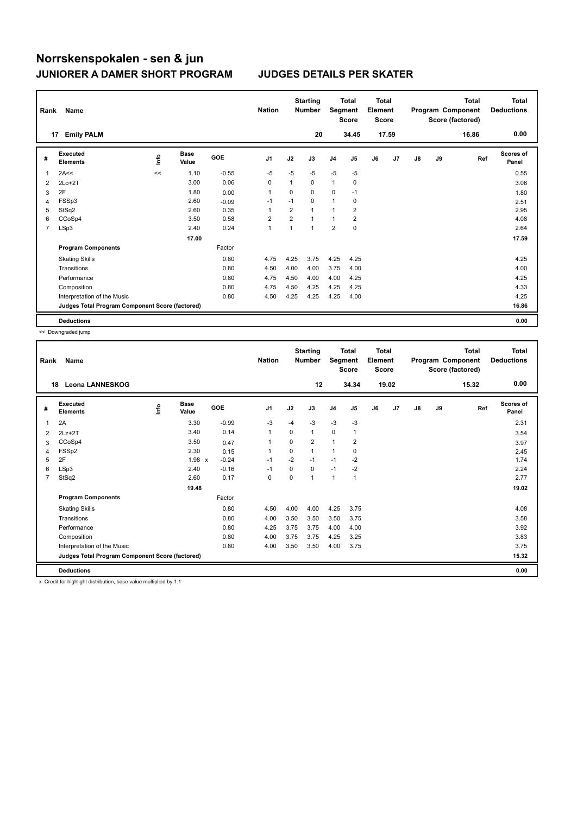| Rank           | Name                                            |             |                      |            | <b>Nation</b>  |                | <b>Starting</b><br><b>Number</b> |                         | Total<br>Segment<br><b>Score</b> | <b>Total</b><br>Element<br><b>Score</b> |       |               |    | <b>Total</b><br>Program Component<br>Score (factored) | <b>Total</b><br><b>Deductions</b> |
|----------------|-------------------------------------------------|-------------|----------------------|------------|----------------|----------------|----------------------------------|-------------------------|----------------------------------|-----------------------------------------|-------|---------------|----|-------------------------------------------------------|-----------------------------------|
|                | <b>Emily PALM</b><br>17                         |             |                      |            |                |                | 20                               |                         | 34.45                            |                                         | 17.59 |               |    | 16.86                                                 | 0.00                              |
| #              | Executed<br><b>Elements</b>                     | <u>info</u> | <b>Base</b><br>Value | <b>GOE</b> | J <sub>1</sub> | J2             | J3                               | J <sub>4</sub>          | J <sub>5</sub>                   | J6                                      | J7    | $\mathsf{J}8$ | J9 | Ref                                                   | Scores of<br>Panel                |
| 1              | 2A<<                                            | <<          | 1.10                 | $-0.55$    | $-5$           | $-5$           | $-5$                             | $-5$                    | $-5$                             |                                         |       |               |    |                                                       | 0.55                              |
| 2              | $2Lo+2T$                                        |             | 3.00                 | 0.06       | $\Omega$       | 1              | $\Omega$                         | $\mathbf{1}$            | 0                                |                                         |       |               |    |                                                       | 3.06                              |
| 3              | 2F                                              |             | 1.80                 | 0.00       | 1              | 0              | $\mathbf 0$                      | 0                       | $-1$                             |                                         |       |               |    |                                                       | 1.80                              |
| 4              | FSSp3                                           |             | 2.60                 | $-0.09$    | $-1$           | $-1$           | 0                                | 1                       | 0                                |                                         |       |               |    |                                                       | 2.51                              |
| 5              | StSq2                                           |             | 2.60                 | 0.35       | 1              | $\overline{2}$ | $\mathbf{1}$                     | 1                       | $\overline{\mathbf{c}}$          |                                         |       |               |    |                                                       | 2.95                              |
| 6              | CCoSp4                                          |             | 3.50                 | 0.58       | $\overline{2}$ | $\overline{2}$ | $\mathbf{1}$                     | 1                       | $\overline{2}$                   |                                         |       |               |    |                                                       | 4.08                              |
| $\overline{7}$ | LSp3                                            |             | 2.40                 | 0.24       | 1              | 1              | $\mathbf{1}$                     | $\overline{\mathbf{c}}$ | 0                                |                                         |       |               |    |                                                       | 2.64                              |
|                |                                                 |             | 17.00                |            |                |                |                                  |                         |                                  |                                         |       |               |    |                                                       | 17.59                             |
|                | <b>Program Components</b>                       |             |                      | Factor     |                |                |                                  |                         |                                  |                                         |       |               |    |                                                       |                                   |
|                | <b>Skating Skills</b>                           |             |                      | 0.80       | 4.75           | 4.25           | 3.75                             | 4.25                    | 4.25                             |                                         |       |               |    |                                                       | 4.25                              |
|                | Transitions                                     |             |                      | 0.80       | 4.50           | 4.00           | 4.00                             | 3.75                    | 4.00                             |                                         |       |               |    |                                                       | 4.00                              |
|                | Performance                                     |             |                      | 0.80       | 4.75           | 4.50           | 4.00                             | 4.00                    | 4.25                             |                                         |       |               |    |                                                       | 4.25                              |
|                | Composition                                     |             |                      | 0.80       | 4.75           | 4.50           | 4.25                             | 4.25                    | 4.25                             |                                         |       |               |    |                                                       | 4.33                              |
|                | Interpretation of the Music                     |             |                      | 0.80       | 4.50           | 4.25           | 4.25                             | 4.25                    | 4.00                             |                                         |       |               |    |                                                       | 4.25                              |
|                | Judges Total Program Component Score (factored) |             |                      |            |                |                |                                  |                         |                                  |                                         |       |               |    |                                                       | 16.86                             |
|                | <b>Deductions</b>                               |             |                      |            |                |                |                                  |                         |                                  |                                         |       |               |    |                                                       | 0.00                              |

<< Downgraded jump

| Rank           | Name<br><b>Leona LANNESKOG</b><br>18            |      |                      |            | <b>Nation</b>  |          | <b>Starting</b><br><b>Number</b> | Segment        | <b>Total</b><br><b>Score</b> | <b>Total</b><br>Element<br><b>Score</b> |                |    |    | <b>Total</b><br>Program Component<br>Score (factored) | <b>Total</b><br><b>Deductions</b> |
|----------------|-------------------------------------------------|------|----------------------|------------|----------------|----------|----------------------------------|----------------|------------------------------|-----------------------------------------|----------------|----|----|-------------------------------------------------------|-----------------------------------|
|                |                                                 |      |                      |            |                |          | 12                               |                | 34.34                        |                                         | 19.02          |    |    | 15.32                                                 | 0.00                              |
| #              | Executed<br><b>Elements</b>                     | ١nf٥ | <b>Base</b><br>Value | <b>GOE</b> | J <sub>1</sub> | J2       | J3                               | J <sub>4</sub> | J <sub>5</sub>               | J6                                      | J <sub>7</sub> | J8 | J9 | Ref                                                   | <b>Scores of</b><br>Panel         |
| $\mathbf{1}$   | 2A                                              |      | 3.30                 | $-0.99$    | $-3$           | $-4$     | $-3$                             | $-3$           | $-3$                         |                                         |                |    |    |                                                       | 2.31                              |
| 2              | $2Lz+2T$                                        |      | 3.40                 | 0.14       | $\mathbf{1}$   | $\Omega$ | $\mathbf{1}$                     | 0              | 1                            |                                         |                |    |    |                                                       | 3.54                              |
| 3              | CCoSp4                                          |      | 3.50                 | 0.47       | 1              | 0        | 2                                | $\mathbf{1}$   | 2                            |                                         |                |    |    |                                                       | 3.97                              |
| 4              | FSSp2                                           |      | 2.30                 | 0.15       | 1              | $\Omega$ | $\mathbf{1}$                     | $\overline{1}$ | 0                            |                                         |                |    |    |                                                       | 2.45                              |
| 5              | 2F                                              |      | 1.98 x               | $-0.24$    | $-1$           | $-2$     | $-1$                             | $-1$           | $-2$                         |                                         |                |    |    |                                                       | 1.74                              |
| 6              | LSp3                                            |      | 2.40                 | $-0.16$    | $-1$           | $\Omega$ | 0                                | $-1$           | $-2$                         |                                         |                |    |    |                                                       | 2.24                              |
| $\overline{7}$ | StSq2                                           |      | 2.60                 | 0.17       | $\Omega$       | $\Omega$ | $\mathbf{1}$                     | $\mathbf{1}$   | $\mathbf{1}$                 |                                         |                |    |    |                                                       | 2.77                              |
|                |                                                 |      | 19.48                |            |                |          |                                  |                |                              |                                         |                |    |    |                                                       | 19.02                             |
|                | <b>Program Components</b>                       |      |                      | Factor     |                |          |                                  |                |                              |                                         |                |    |    |                                                       |                                   |
|                | <b>Skating Skills</b>                           |      |                      | 0.80       | 4.50           | 4.00     | 4.00                             | 4.25           | 3.75                         |                                         |                |    |    |                                                       | 4.08                              |
|                | Transitions                                     |      |                      | 0.80       | 4.00           | 3.50     | 3.50                             | 3.50           | 3.75                         |                                         |                |    |    |                                                       | 3.58                              |
|                | Performance                                     |      |                      | 0.80       | 4.25           | 3.75     | 3.75                             | 4.00           | 4.00                         |                                         |                |    |    |                                                       | 3.92                              |
|                | Composition                                     |      |                      | 0.80       | 4.00           | 3.75     | 3.75                             | 4.25           | 3.25                         |                                         |                |    |    |                                                       | 3.83                              |
|                | Interpretation of the Music                     |      |                      | 0.80       | 4.00           | 3.50     | 3.50                             | 4.00           | 3.75                         |                                         |                |    |    |                                                       | 3.75                              |
|                | Judges Total Program Component Score (factored) |      |                      |            |                |          |                                  |                |                              |                                         |                |    |    |                                                       | 15.32                             |
|                | <b>Deductions</b>                               |      |                      |            |                |          |                                  |                |                              |                                         |                |    |    |                                                       | 0.00                              |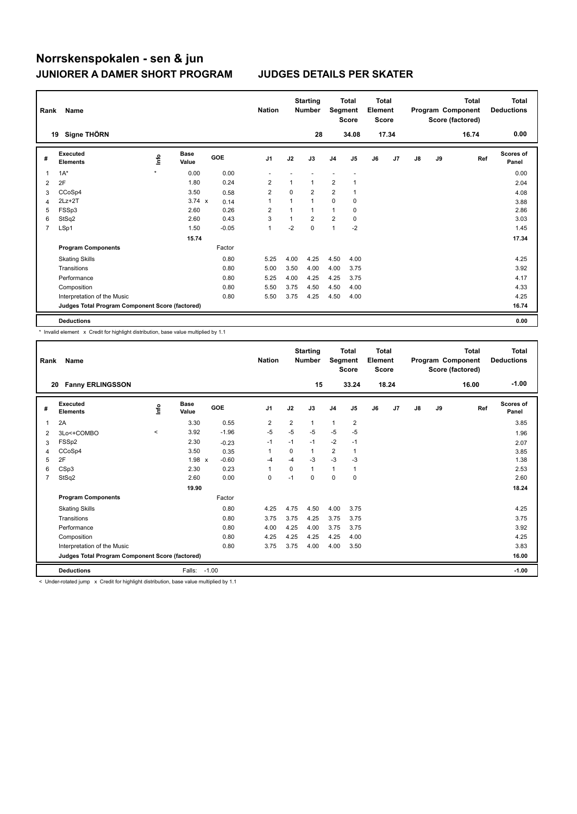| Rank | Name                                            |         |                      |            | <b>Nation</b>           |              | <b>Starting</b><br><b>Number</b> | Segment        | <b>Total</b><br><b>Score</b> | <b>Total</b><br>Element<br><b>Score</b> |       |               |    | <b>Total</b><br>Program Component<br>Score (factored) | <b>Total</b><br><b>Deductions</b> |
|------|-------------------------------------------------|---------|----------------------|------------|-------------------------|--------------|----------------------------------|----------------|------------------------------|-----------------------------------------|-------|---------------|----|-------------------------------------------------------|-----------------------------------|
|      | Signe THÖRN<br>19                               |         |                      |            |                         |              | 28                               |                | 34.08                        |                                         | 17.34 |               |    | 16.74                                                 | 0.00                              |
| #    | Executed<br><b>Elements</b>                     | ١nfo    | <b>Base</b><br>Value | <b>GOE</b> | J <sub>1</sub>          | J2           | J3                               | J <sub>4</sub> | J5                           | J6                                      | J7    | $\mathsf{J}8$ | J9 | Ref                                                   | <b>Scores of</b><br>Panel         |
| 1    | $1A^*$                                          | $\star$ | 0.00                 | 0.00       |                         |              |                                  |                |                              |                                         |       |               |    |                                                       | 0.00                              |
| 2    | 2F                                              |         | 1.80                 | 0.24       | $\overline{2}$          | 1            | 1                                | $\overline{2}$ |                              |                                         |       |               |    |                                                       | 2.04                              |
| 3    | CCoSp4                                          |         | 3.50                 | 0.58       | $\overline{\mathbf{c}}$ | 0            | 2                                | 2              |                              |                                         |       |               |    |                                                       | 4.08                              |
| 4    | $2Lz + 2T$                                      |         | $3.74 \times$        | 0.14       | $\overline{1}$          | $\mathbf{1}$ | $\mathbf{1}$                     | $\mathbf 0$    | 0                            |                                         |       |               |    |                                                       | 3.88                              |
| 5    | FSSp3                                           |         | 2.60                 | 0.26       | $\overline{2}$          | 1            | $\mathbf{1}$                     | $\mathbf{1}$   | $\mathbf 0$                  |                                         |       |               |    |                                                       | 2.86                              |
| 6    | StSq2                                           |         | 2.60                 | 0.43       | 3                       | 1            | $\overline{2}$                   | $\overline{2}$ | $\mathbf 0$                  |                                         |       |               |    |                                                       | 3.03                              |
| 7    | LSp1                                            |         | 1.50                 | $-0.05$    | $\mathbf{1}$            | $-2$         | 0                                | 1              | $-2$                         |                                         |       |               |    |                                                       | 1.45                              |
|      |                                                 |         | 15.74                |            |                         |              |                                  |                |                              |                                         |       |               |    |                                                       | 17.34                             |
|      | <b>Program Components</b>                       |         |                      | Factor     |                         |              |                                  |                |                              |                                         |       |               |    |                                                       |                                   |
|      | <b>Skating Skills</b>                           |         |                      | 0.80       | 5.25                    | 4.00         | 4.25                             | 4.50           | 4.00                         |                                         |       |               |    |                                                       | 4.25                              |
|      | Transitions                                     |         |                      | 0.80       | 5.00                    | 3.50         | 4.00                             | 4.00           | 3.75                         |                                         |       |               |    |                                                       | 3.92                              |
|      | Performance                                     |         |                      | 0.80       | 5.25                    | 4.00         | 4.25                             | 4.25           | 3.75                         |                                         |       |               |    |                                                       | 4.17                              |
|      | Composition                                     |         |                      | 0.80       | 5.50                    | 3.75         | 4.50                             | 4.50           | 4.00                         |                                         |       |               |    |                                                       | 4.33                              |
|      | Interpretation of the Music                     |         |                      | 0.80       | 5.50                    | 3.75         | 4.25                             | 4.50           | 4.00                         |                                         |       |               |    |                                                       | 4.25                              |
|      | Judges Total Program Component Score (factored) |         |                      |            |                         |              |                                  |                |                              |                                         |       |               |    |                                                       | 16.74                             |
|      | <b>Deductions</b>                               |         |                      |            |                         |              |                                  |                |                              |                                         |       |               |    |                                                       | 0.00                              |

\* Invalid element x Credit for highlight distribution, base value multiplied by 1.1

| Rank           | Name                                            |          |                      |         | <b>Nation</b>  |                | <b>Starting</b><br><b>Number</b> | Segment                 | <b>Total</b><br><b>Score</b> | Total<br>Element<br><b>Score</b> |       |               |    | <b>Total</b><br>Program Component<br>Score (factored) | <b>Total</b><br><b>Deductions</b> |
|----------------|-------------------------------------------------|----------|----------------------|---------|----------------|----------------|----------------------------------|-------------------------|------------------------------|----------------------------------|-------|---------------|----|-------------------------------------------------------|-----------------------------------|
|                | 20<br><b>Fanny ERLINGSSON</b>                   |          |                      |         |                |                | 15                               |                         | 33.24                        |                                  | 18.24 |               |    | 16.00                                                 | $-1.00$                           |
| #              | Executed<br><b>Elements</b>                     | lnfo     | <b>Base</b><br>Value | GOE     | J <sub>1</sub> | J2             | J3                               | J <sub>4</sub>          | J5                           | J6                               | J7    | $\mathsf{J}8$ | J9 | Ref                                                   | <b>Scores of</b><br>Panel         |
| 1              | 2A                                              |          | 3.30                 | 0.55    | 2              | $\overline{2}$ | 1                                | $\mathbf{1}$            | $\overline{2}$               |                                  |       |               |    |                                                       | 3.85                              |
| 2              | 3Lo<+COMBO                                      | $\hat{}$ | 3.92                 | $-1.96$ | $-5$           | $-5$           | $-5$                             | $-5$                    | $-5$                         |                                  |       |               |    |                                                       | 1.96                              |
| 3              | FSSp2                                           |          | 2.30                 | $-0.23$ | $-1$           | $-1$           | $-1$                             | $-2$                    | $-1$                         |                                  |       |               |    |                                                       | 2.07                              |
| 4              | CCoSp4                                          |          | 3.50                 | 0.35    | $\mathbf{1}$   | $\Omega$       | 1                                | $\overline{\mathbf{c}}$ | 1                            |                                  |       |               |    |                                                       | 3.85                              |
| 5              | 2F                                              |          | $1.98 \times$        | $-0.60$ | $-4$           | $-4$           | $-3$                             | $-3$                    | $-3$                         |                                  |       |               |    |                                                       | 1.38                              |
| 6              | CSp3                                            |          | 2.30                 | 0.23    | $\mathbf{1}$   | $\Omega$       | 1                                | $\mathbf{1}$            | 1                            |                                  |       |               |    |                                                       | 2.53                              |
| $\overline{7}$ | StSq2                                           |          | 2.60                 | 0.00    | 0              | $-1$           | 0                                | 0                       | 0                            |                                  |       |               |    |                                                       | 2.60                              |
|                |                                                 |          | 19.90                |         |                |                |                                  |                         |                              |                                  |       |               |    |                                                       | 18.24                             |
|                | <b>Program Components</b>                       |          |                      | Factor  |                |                |                                  |                         |                              |                                  |       |               |    |                                                       |                                   |
|                | <b>Skating Skills</b>                           |          |                      | 0.80    | 4.25           | 4.75           | 4.50                             | 4.00                    | 3.75                         |                                  |       |               |    |                                                       | 4.25                              |
|                | Transitions                                     |          |                      | 0.80    | 3.75           | 3.75           | 4.25                             | 3.75                    | 3.75                         |                                  |       |               |    |                                                       | 3.75                              |
|                | Performance                                     |          |                      | 0.80    | 4.00           | 4.25           | 4.00                             | 3.75                    | 3.75                         |                                  |       |               |    |                                                       | 3.92                              |
|                | Composition                                     |          |                      | 0.80    | 4.25           | 4.25           | 4.25                             | 4.25                    | 4.00                         |                                  |       |               |    |                                                       | 4.25                              |
|                | Interpretation of the Music                     |          |                      | 0.80    | 3.75           | 3.75           | 4.00                             | 4.00                    | 3.50                         |                                  |       |               |    |                                                       | 3.83                              |
|                | Judges Total Program Component Score (factored) |          |                      |         |                |                |                                  |                         |                              |                                  |       |               |    |                                                       | 16.00                             |
|                | <b>Deductions</b>                               |          | Falls:               | $-1.00$ |                |                |                                  |                         |                              |                                  |       |               |    |                                                       | $-1.00$                           |

< Under-rotated jump x Credit for highlight distribution, base value multiplied by 1.1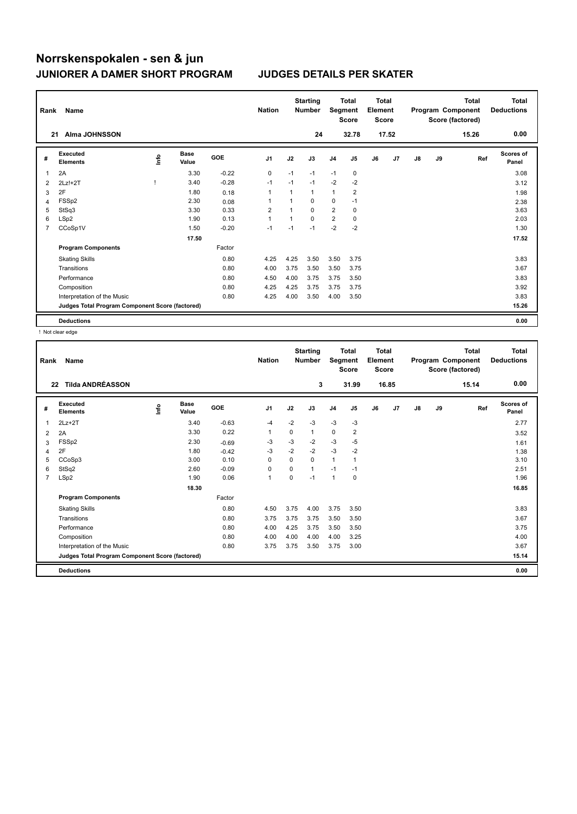| Rank           | Name                                            |      |                      |            | <b>Nation</b>  |             | <b>Starting</b><br><b>Number</b> | Segment        | <b>Total</b><br><b>Score</b> | <b>Total</b><br>Element<br><b>Score</b> |       |    |    | <b>Total</b><br>Program Component<br>Score (factored) | <b>Total</b><br><b>Deductions</b> |
|----------------|-------------------------------------------------|------|----------------------|------------|----------------|-------------|----------------------------------|----------------|------------------------------|-----------------------------------------|-------|----|----|-------------------------------------------------------|-----------------------------------|
|                | <b>Alma JOHNSSON</b><br>21                      |      |                      |            |                |             | 24                               |                | 32.78                        |                                         | 17.52 |    |    | 15.26                                                 | 0.00                              |
| #              | <b>Executed</b><br><b>Elements</b>              | ١nfo | <b>Base</b><br>Value | <b>GOE</b> | J <sub>1</sub> | J2          | J3                               | J <sub>4</sub> | J <sub>5</sub>               | J6                                      | J7    | J8 | J9 | Ref                                                   | <b>Scores of</b><br>Panel         |
| 1              | 2A                                              |      | 3.30                 | $-0.22$    | 0              | $-1$        | $-1$                             | $-1$           | 0                            |                                         |       |    |    |                                                       | 3.08                              |
| 2              | $2Lz!+2T$                                       |      | 3.40                 | $-0.28$    | $-1$           | $-1$        | $-1$                             | $-2$           | $-2$                         |                                         |       |    |    |                                                       | 3.12                              |
| 3              | 2F                                              |      | 1.80                 | 0.18       | 1              |             | 1                                | 1              | $\overline{\mathbf{c}}$      |                                         |       |    |    |                                                       | 1.98                              |
| 4              | FSSp2                                           |      | 2.30                 | 0.08       | 1              |             | $\Omega$                         | 0              | $-1$                         |                                         |       |    |    |                                                       | 2.38                              |
| 5              | StSq3                                           |      | 3.30                 | 0.33       | $\overline{2}$ |             | $\Omega$                         | $\overline{2}$ | $\mathbf 0$                  |                                         |       |    |    |                                                       | 3.63                              |
| 6              | LSp2                                            |      | 1.90                 | 0.13       | $\overline{1}$ | $\mathbf 1$ | $\Omega$                         | $\overline{2}$ | 0                            |                                         |       |    |    |                                                       | 2.03                              |
| $\overline{7}$ | CCoSp1V                                         |      | 1.50                 | $-0.20$    | $-1$           | $-1$        | $-1$                             | $-2$           | $-2$                         |                                         |       |    |    |                                                       | 1.30                              |
|                |                                                 |      | 17.50                |            |                |             |                                  |                |                              |                                         |       |    |    |                                                       | 17.52                             |
|                | <b>Program Components</b>                       |      |                      | Factor     |                |             |                                  |                |                              |                                         |       |    |    |                                                       |                                   |
|                | <b>Skating Skills</b>                           |      |                      | 0.80       | 4.25           | 4.25        | 3.50                             | 3.50           | 3.75                         |                                         |       |    |    |                                                       | 3.83                              |
|                | Transitions                                     |      |                      | 0.80       | 4.00           | 3.75        | 3.50                             | 3.50           | 3.75                         |                                         |       |    |    |                                                       | 3.67                              |
|                | Performance                                     |      |                      | 0.80       | 4.50           | 4.00        | 3.75                             | 3.75           | 3.50                         |                                         |       |    |    |                                                       | 3.83                              |
|                | Composition                                     |      |                      | 0.80       | 4.25           | 4.25        | 3.75                             | 3.75           | 3.75                         |                                         |       |    |    |                                                       | 3.92                              |
|                | Interpretation of the Music                     |      |                      | 0.80       | 4.25           | 4.00        | 3.50                             | 4.00           | 3.50                         |                                         |       |    |    |                                                       | 3.83                              |
|                | Judges Total Program Component Score (factored) |      |                      |            |                |             |                                  |                |                              |                                         |       |    |    |                                                       | 15.26                             |
|                | <b>Deductions</b>                               |      |                      |            |                |             |                                  |                |                              |                                         |       |    |    |                                                       | 0.00                              |

! Not clear edge

| Rank           | <b>Name</b><br><b>Tilda ANDRÉASSON</b><br>22    |    |                      |            | <b>Nation</b>  |          | <b>Starting</b><br><b>Number</b> | Segment        | <b>Total</b><br><b>Score</b> | Total<br>Element<br>Score |       |    |    | <b>Total</b><br>Program Component<br>Score (factored) | <b>Total</b><br><b>Deductions</b> |
|----------------|-------------------------------------------------|----|----------------------|------------|----------------|----------|----------------------------------|----------------|------------------------------|---------------------------|-------|----|----|-------------------------------------------------------|-----------------------------------|
|                |                                                 |    |                      |            |                |          | 3                                |                | 31.99                        |                           | 16.85 |    |    | 15.14                                                 | 0.00                              |
| #              | Executed<br><b>Elements</b>                     | ۴ů | <b>Base</b><br>Value | <b>GOE</b> | J <sub>1</sub> | J2       | J3                               | J <sub>4</sub> | J <sub>5</sub>               | J6                        | J7    | J8 | J9 | Ref                                                   | Scores of<br>Panel                |
| 1              | $2Lz+2T$                                        |    | 3.40                 | $-0.63$    | $-4$           | $-2$     | $-3$                             | $-3$           | $-3$                         |                           |       |    |    |                                                       | 2.77                              |
| 2              | 2A                                              |    | 3.30                 | 0.22       | $\mathbf{1}$   | 0        | 1                                | $\mathbf 0$    | 2                            |                           |       |    |    |                                                       | 3.52                              |
| 3              | FSSp2                                           |    | 2.30                 | $-0.69$    | -3             | $-3$     | $-2$                             | $-3$           | $-5$                         |                           |       |    |    |                                                       | 1.61                              |
| 4              | 2F                                              |    | 1.80                 | $-0.42$    | $-3$           | $-2$     | $-2$                             | $-3$           | $-2$                         |                           |       |    |    |                                                       | 1.38                              |
| 5              | CCoSp3                                          |    | 3.00                 | 0.10       | $\Omega$       | $\Omega$ | 0                                | $\mathbf{1}$   | $\mathbf{1}$                 |                           |       |    |    |                                                       | 3.10                              |
| 6              | StSq2                                           |    | 2.60                 | $-0.09$    | $\mathbf 0$    | 0        | 1                                | $-1$           | $-1$                         |                           |       |    |    |                                                       | 2.51                              |
| $\overline{7}$ | LSp2                                            |    | 1.90                 | 0.06       | $\mathbf{1}$   | $\Omega$ | $-1$                             | $\overline{1}$ | 0                            |                           |       |    |    |                                                       | 1.96                              |
|                |                                                 |    | 18.30                |            |                |          |                                  |                |                              |                           |       |    |    |                                                       | 16.85                             |
|                | <b>Program Components</b>                       |    |                      | Factor     |                |          |                                  |                |                              |                           |       |    |    |                                                       |                                   |
|                | <b>Skating Skills</b>                           |    |                      | 0.80       | 4.50           | 3.75     | 4.00                             | 3.75           | 3.50                         |                           |       |    |    |                                                       | 3.83                              |
|                | Transitions                                     |    |                      | 0.80       | 3.75           | 3.75     | 3.75                             | 3.50           | 3.50                         |                           |       |    |    |                                                       | 3.67                              |
|                | Performance                                     |    |                      | 0.80       | 4.00           | 4.25     | 3.75                             | 3.50           | 3.50                         |                           |       |    |    |                                                       | 3.75                              |
|                | Composition                                     |    |                      | 0.80       | 4.00           | 4.00     | 4.00                             | 4.00           | 3.25                         |                           |       |    |    |                                                       | 4.00                              |
|                | Interpretation of the Music                     |    |                      | 0.80       | 3.75           | 3.75     | 3.50                             | 3.75           | 3.00                         |                           |       |    |    |                                                       | 3.67                              |
|                | Judges Total Program Component Score (factored) |    |                      |            |                |          |                                  |                |                              |                           |       |    |    |                                                       | 15.14                             |
|                | <b>Deductions</b>                               |    |                      |            |                |          |                                  |                |                              |                           |       |    |    |                                                       | 0.00                              |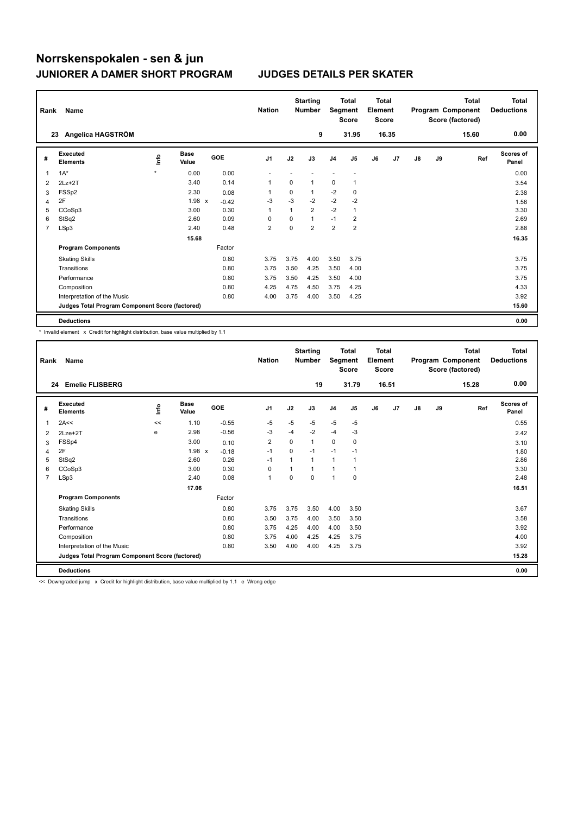| Rank           | Name                                            |         |                      |            | <b>Nation</b>  |              | <b>Starting</b><br><b>Number</b> | Segment        | <b>Total</b><br><b>Score</b> | <b>Total</b><br>Element<br><b>Score</b> |       |    |    | <b>Total</b><br>Program Component<br>Score (factored) | Total<br><b>Deductions</b> |
|----------------|-------------------------------------------------|---------|----------------------|------------|----------------|--------------|----------------------------------|----------------|------------------------------|-----------------------------------------|-------|----|----|-------------------------------------------------------|----------------------------|
|                | Angelica HAGSTRÖM<br>23                         |         |                      |            |                |              | 9                                |                | 31.95                        |                                         | 16.35 |    |    | 15.60                                                 | 0.00                       |
| #              | <b>Executed</b><br><b>Elements</b>              | ١nfo    | <b>Base</b><br>Value | <b>GOE</b> | J <sub>1</sub> | J2           | J3                               | J <sub>4</sub> | J <sub>5</sub>               | J6                                      | J7    | J8 | J9 | Ref                                                   | Scores of<br>Panel         |
| 1              | $1A^*$                                          | $\star$ | 0.00                 | 0.00       |                |              |                                  |                |                              |                                         |       |    |    |                                                       | 0.00                       |
| $\overline{2}$ | $2Lz + 2T$                                      |         | 3.40                 | 0.14       | 1              | $\Omega$     | 1                                | 0              |                              |                                         |       |    |    |                                                       | 3.54                       |
| 3              | FSSp2                                           |         | 2.30                 | 0.08       | 1              | 0            | 1                                | $-2$           | 0                            |                                         |       |    |    |                                                       | 2.38                       |
| 4              | 2F                                              |         | 1.98 x               | $-0.42$    | $-3$           | $-3$         | $-2$                             | $-2$           | $-2$                         |                                         |       |    |    |                                                       | 1.56                       |
| 5              | CCoSp3                                          |         | 3.00                 | 0.30       | $\overline{1}$ | $\mathbf{1}$ | $\overline{2}$                   | $-2$           | $\mathbf{1}$                 |                                         |       |    |    |                                                       | 3.30                       |
| 6              | StSq2                                           |         | 2.60                 | 0.09       | $\Omega$       | 0            | $\mathbf{1}$                     | $-1$           | 2                            |                                         |       |    |    |                                                       | 2.69                       |
| $\overline{7}$ | LSp3                                            |         | 2.40                 | 0.48       | $\overline{2}$ | 0            | $\overline{2}$                   | $\overline{2}$ | $\overline{2}$               |                                         |       |    |    |                                                       | 2.88                       |
|                |                                                 |         | 15.68                |            |                |              |                                  |                |                              |                                         |       |    |    |                                                       | 16.35                      |
|                | <b>Program Components</b>                       |         |                      | Factor     |                |              |                                  |                |                              |                                         |       |    |    |                                                       |                            |
|                | <b>Skating Skills</b>                           |         |                      | 0.80       | 3.75           | 3.75         | 4.00                             | 3.50           | 3.75                         |                                         |       |    |    |                                                       | 3.75                       |
|                | Transitions                                     |         |                      | 0.80       | 3.75           | 3.50         | 4.25                             | 3.50           | 4.00                         |                                         |       |    |    |                                                       | 3.75                       |
|                | Performance                                     |         |                      | 0.80       | 3.75           | 3.50         | 4.25                             | 3.50           | 4.00                         |                                         |       |    |    |                                                       | 3.75                       |
|                | Composition                                     |         |                      | 0.80       | 4.25           | 4.75         | 4.50                             | 3.75           | 4.25                         |                                         |       |    |    |                                                       | 4.33                       |
|                | Interpretation of the Music                     |         |                      | 0.80       | 4.00           | 3.75         | 4.00                             | 3.50           | 4.25                         |                                         |       |    |    |                                                       | 3.92                       |
|                | Judges Total Program Component Score (factored) |         |                      |            |                |              |                                  |                |                              |                                         |       |    |    |                                                       | 15.60                      |
|                | <b>Deductions</b>                               |         |                      |            |                |              |                                  |                |                              |                                         |       |    |    |                                                       | 0.00                       |

\* Invalid element x Credit for highlight distribution, base value multiplied by 1.1

| Rank           | Name                                            |      |                      |            | <b>Nation</b>  |          | <b>Starting</b><br><b>Number</b> | Segment        | <b>Total</b><br><b>Score</b> | <b>Total</b><br>Element<br><b>Score</b> |       |    |    | <b>Total</b><br>Program Component<br>Score (factored) | Total<br><b>Deductions</b> |
|----------------|-------------------------------------------------|------|----------------------|------------|----------------|----------|----------------------------------|----------------|------------------------------|-----------------------------------------|-------|----|----|-------------------------------------------------------|----------------------------|
|                | <b>Emelie FLISBERG</b><br>24                    |      |                      |            |                |          | 19                               |                | 31.79                        |                                         | 16.51 |    |    | 15.28                                                 | 0.00                       |
| #              | Executed<br><b>Elements</b>                     | lnfo | <b>Base</b><br>Value | <b>GOE</b> | J <sub>1</sub> | J2       | J3                               | J <sub>4</sub> | J <sub>5</sub>               | J6                                      | J7    | J8 | J9 | Ref                                                   | Scores of<br>Panel         |
| 1              | 2A<<                                            | <<   | 1.10                 | $-0.55$    | $-5$           | $-5$     | -5                               | $-5$           | $-5$                         |                                         |       |    |    |                                                       | 0.55                       |
| 2              | $2Lze+2T$                                       | e    | 2.98                 | $-0.56$    | $-3$           | $-4$     | $-2$                             | $-4$           | $-3$                         |                                         |       |    |    |                                                       | 2.42                       |
| 3              | FSSp4                                           |      | 3.00                 | 0.10       | 2              | 0        | $\mathbf 1$                      | 0              | 0                            |                                         |       |    |    |                                                       | 3.10                       |
| 4              | 2F                                              |      | 1.98<br>$\mathsf{x}$ | $-0.18$    | $-1$           | $\Omega$ | $-1$                             | $-1$           | $-1$                         |                                         |       |    |    |                                                       | 1.80                       |
| 5              | StSq2                                           |      | 2.60                 | 0.26       | $-1$           | 1        | $\overline{1}$                   | $\mathbf{1}$   |                              |                                         |       |    |    |                                                       | 2.86                       |
| 6              | CCoSp3                                          |      | 3.00                 | 0.30       | 0              | 1        |                                  | $\mathbf{1}$   |                              |                                         |       |    |    |                                                       | 3.30                       |
| $\overline{7}$ | LSp3                                            |      | 2.40                 | 0.08       | $\mathbf{1}$   | $\Omega$ | $\Omega$                         | $\mathbf{1}$   | $\mathbf 0$                  |                                         |       |    |    |                                                       | 2.48                       |
|                |                                                 |      | 17.06                |            |                |          |                                  |                |                              |                                         |       |    |    |                                                       | 16.51                      |
|                | <b>Program Components</b>                       |      |                      | Factor     |                |          |                                  |                |                              |                                         |       |    |    |                                                       |                            |
|                | <b>Skating Skills</b>                           |      |                      | 0.80       | 3.75           | 3.75     | 3.50                             | 4.00           | 3.50                         |                                         |       |    |    |                                                       | 3.67                       |
|                | Transitions                                     |      |                      | 0.80       | 3.50           | 3.75     | 4.00                             | 3.50           | 3.50                         |                                         |       |    |    |                                                       | 3.58                       |
|                | Performance                                     |      |                      | 0.80       | 3.75           | 4.25     | 4.00                             | 4.00           | 3.50                         |                                         |       |    |    |                                                       | 3.92                       |
|                | Composition                                     |      |                      | 0.80       | 3.75           | 4.00     | 4.25                             | 4.25           | 3.75                         |                                         |       |    |    |                                                       | 4.00                       |
|                | Interpretation of the Music                     |      |                      | 0.80       | 3.50           | 4.00     | 4.00                             | 4.25           | 3.75                         |                                         |       |    |    |                                                       | 3.92                       |
|                | Judges Total Program Component Score (factored) |      |                      |            |                |          |                                  |                |                              |                                         |       |    |    |                                                       | 15.28                      |
|                | <b>Deductions</b>                               |      |                      |            |                |          |                                  |                |                              |                                         |       |    |    |                                                       | 0.00                       |

<< Downgraded jump x Credit for highlight distribution, base value multiplied by 1.1 e Wrong edge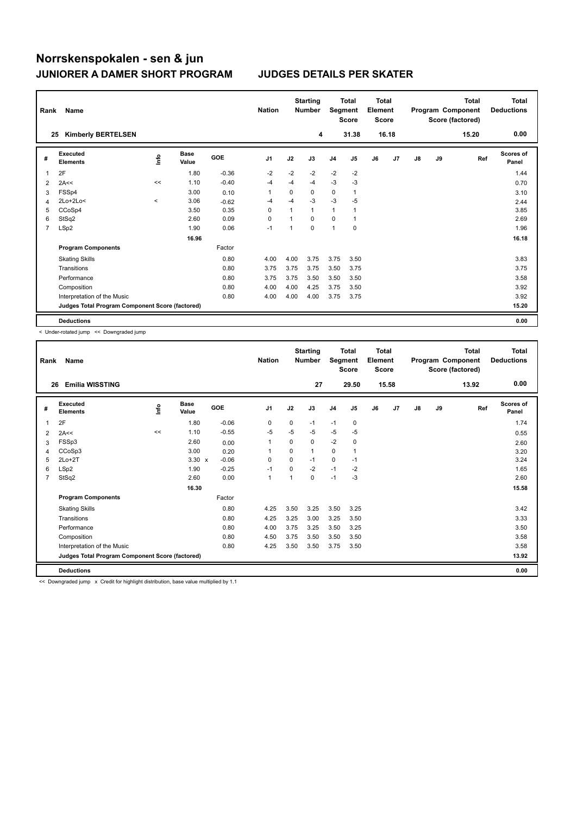| Rank | Name                                            |         |                      |            | <b>Nation</b>  |              | <b>Starting</b><br><b>Number</b> | Segment        | <b>Total</b><br><b>Score</b> | <b>Total</b><br>Element<br><b>Score</b> |       |    |    | <b>Total</b><br>Program Component<br>Score (factored) | Total<br><b>Deductions</b> |
|------|-------------------------------------------------|---------|----------------------|------------|----------------|--------------|----------------------------------|----------------|------------------------------|-----------------------------------------|-------|----|----|-------------------------------------------------------|----------------------------|
| 25   | <b>Kimberly BERTELSEN</b>                       |         |                      |            |                |              | 4                                |                | 31.38                        |                                         | 16.18 |    |    | 15.20                                                 | 0.00                       |
| #    | <b>Executed</b><br><b>Elements</b>              | ١nfo    | <b>Base</b><br>Value | <b>GOE</b> | J <sub>1</sub> | J2           | J3                               | J <sub>4</sub> | J <sub>5</sub>               | J6                                      | J7    | J8 | J9 | Ref                                                   | Scores of<br>Panel         |
| 1    | 2F                                              |         | 1.80                 | $-0.36$    | $-2$           | $-2$         | $-2$                             | $-2$           | $-2$                         |                                         |       |    |    |                                                       | 1.44                       |
| 2    | 2A<<                                            | <<      | 1.10                 | $-0.40$    | $-4$           | $-4$         | $-4$                             | $-3$           | $-3$                         |                                         |       |    |    |                                                       | 0.70                       |
| 3    | FSSp4                                           |         | 3.00                 | 0.10       | 1              | 0            | 0                                | 0              | $\mathbf{1}$                 |                                         |       |    |    |                                                       | 3.10                       |
| 4    | $2Lo+2Lo<$                                      | $\prec$ | 3.06                 | $-0.62$    | $-4$           | $-4$         | $-3$                             | $-3$           | -5                           |                                         |       |    |    |                                                       | 2.44                       |
| 5    | CCoSp4                                          |         | 3.50                 | 0.35       | $\Omega$       | $\mathbf{1}$ | $\mathbf{1}$                     | $\mathbf{1}$   |                              |                                         |       |    |    |                                                       | 3.85                       |
| 6    | StSq2                                           |         | 2.60                 | 0.09       | 0              | $\mathbf 1$  | 0                                | 0              |                              |                                         |       |    |    |                                                       | 2.69                       |
| 7    | LSp2                                            |         | 1.90                 | 0.06       | $-1$           | 1            | $\mathbf 0$                      | 1              | $\pmb{0}$                    |                                         |       |    |    |                                                       | 1.96                       |
|      |                                                 |         | 16.96                |            |                |              |                                  |                |                              |                                         |       |    |    |                                                       | 16.18                      |
|      | <b>Program Components</b>                       |         |                      | Factor     |                |              |                                  |                |                              |                                         |       |    |    |                                                       |                            |
|      | <b>Skating Skills</b>                           |         |                      | 0.80       | 4.00           | 4.00         | 3.75                             | 3.75           | 3.50                         |                                         |       |    |    |                                                       | 3.83                       |
|      | Transitions                                     |         |                      | 0.80       | 3.75           | 3.75         | 3.75                             | 3.50           | 3.75                         |                                         |       |    |    |                                                       | 3.75                       |
|      | Performance                                     |         |                      | 0.80       | 3.75           | 3.75         | 3.50                             | 3.50           | 3.50                         |                                         |       |    |    |                                                       | 3.58                       |
|      | Composition                                     |         |                      | 0.80       | 4.00           | 4.00         | 4.25                             | 3.75           | 3.50                         |                                         |       |    |    |                                                       | 3.92                       |
|      | Interpretation of the Music                     |         |                      | 0.80       | 4.00           | 4.00         | 4.00                             | 3.75           | 3.75                         |                                         |       |    |    |                                                       | 3.92                       |
|      | Judges Total Program Component Score (factored) |         |                      |            |                |              |                                  |                |                              |                                         |       |    |    |                                                       | 15.20                      |
|      | <b>Deductions</b>                               |         |                      |            |                |              |                                  |                |                              |                                         |       |    |    |                                                       | 0.00                       |

< Under-rotated jump << Downgraded jump

| Rank           | Name                                            |      |                      |         | <b>Nation</b>  |          | <b>Starting</b><br><b>Number</b> | Segment        | <b>Total</b><br><b>Score</b> | <b>Total</b><br>Element<br><b>Score</b> |       |               |    | Total<br>Program Component<br>Score (factored) | <b>Total</b><br><b>Deductions</b> |
|----------------|-------------------------------------------------|------|----------------------|---------|----------------|----------|----------------------------------|----------------|------------------------------|-----------------------------------------|-------|---------------|----|------------------------------------------------|-----------------------------------|
|                | <b>Emilia WISSTING</b><br>26                    |      |                      |         |                |          | 27                               |                | 29.50                        |                                         | 15.58 |               |    | 13.92                                          | 0.00                              |
| #              | Executed<br><b>Elements</b>                     | lnfo | <b>Base</b><br>Value | GOE     | J <sub>1</sub> | J2       | J3                               | J <sub>4</sub> | J5                           | J6                                      | J7    | $\mathsf{J}8$ | J9 | Ref                                            | <b>Scores of</b><br>Panel         |
| 1              | 2F                                              |      | 1.80                 | $-0.06$ | 0              | $\Omega$ | $-1$                             | $-1$           | $\mathbf 0$                  |                                         |       |               |    |                                                | 1.74                              |
| 2              | 2A<<                                            | <<   | 1.10                 | $-0.55$ | $-5$           | $-5$     | $-5$                             | $-5$           | $-5$                         |                                         |       |               |    |                                                | 0.55                              |
| 3              | FSSp3                                           |      | 2.60                 | 0.00    | 1              | $\Omega$ | 0                                | $-2$           | 0                            |                                         |       |               |    |                                                | 2.60                              |
| 4              | CCoSp3                                          |      | 3.00                 | 0.20    | 1              | $\Omega$ | 1                                | $\Omega$       | 1                            |                                         |       |               |    |                                                | 3.20                              |
| 5              | $2Lo+2T$                                        |      | $3.30 \times$        | $-0.06$ | $\Omega$       | 0        | $-1$                             | $\mathbf 0$    | $-1$                         |                                         |       |               |    |                                                | 3.24                              |
| 6              | LSp2                                            |      | 1.90                 | $-0.25$ | $-1$           | $\Omega$ | $-2$                             | $-1$           | $-2$                         |                                         |       |               |    |                                                | 1.65                              |
| $\overline{7}$ | StSq2                                           |      | 2.60                 | 0.00    | $\mathbf{1}$   | 1        | 0                                | $-1$           | $-3$                         |                                         |       |               |    |                                                | 2.60                              |
|                |                                                 |      | 16.30                |         |                |          |                                  |                |                              |                                         |       |               |    |                                                | 15.58                             |
|                | <b>Program Components</b>                       |      |                      | Factor  |                |          |                                  |                |                              |                                         |       |               |    |                                                |                                   |
|                | <b>Skating Skills</b>                           |      |                      | 0.80    | 4.25           | 3.50     | 3.25                             | 3.50           | 3.25                         |                                         |       |               |    |                                                | 3.42                              |
|                | Transitions                                     |      |                      | 0.80    | 4.25           | 3.25     | 3.00                             | 3.25           | 3.50                         |                                         |       |               |    |                                                | 3.33                              |
|                | Performance                                     |      |                      | 0.80    | 4.00           | 3.75     | 3.25                             | 3.50           | 3.25                         |                                         |       |               |    |                                                | 3.50                              |
|                | Composition                                     |      |                      | 0.80    | 4.50           | 3.75     | 3.50                             | 3.50           | 3.50                         |                                         |       |               |    |                                                | 3.58                              |
|                | Interpretation of the Music                     |      |                      | 0.80    | 4.25           | 3.50     | 3.50                             | 3.75           | 3.50                         |                                         |       |               |    |                                                | 3.58                              |
|                | Judges Total Program Component Score (factored) |      |                      |         |                |          |                                  |                |                              |                                         |       |               |    |                                                | 13.92                             |
|                | <b>Deductions</b>                               |      |                      |         |                |          |                                  |                |                              |                                         |       |               |    |                                                | 0.00                              |

<< Downgraded jump x Credit for highlight distribution, base value multiplied by 1.1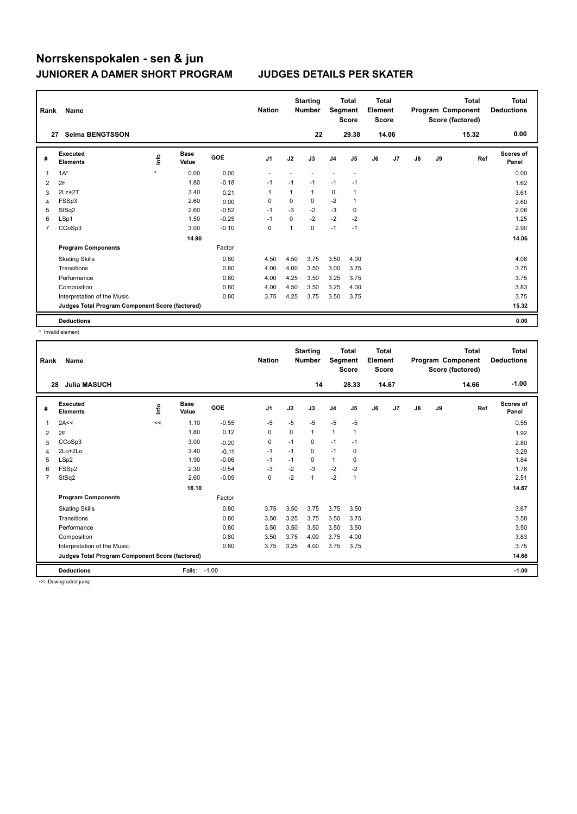| Rank | Name                                            |         |                      |            | <b>Nation</b>  |      | <b>Starting</b><br><b>Number</b> | Segment        | <b>Total</b><br><b>Score</b> | <b>Total</b><br>Element<br><b>Score</b> |       |    |    | <b>Total</b><br>Program Component<br>Score (factored) | <b>Total</b><br><b>Deductions</b> |
|------|-------------------------------------------------|---------|----------------------|------------|----------------|------|----------------------------------|----------------|------------------------------|-----------------------------------------|-------|----|----|-------------------------------------------------------|-----------------------------------|
|      | <b>Selma BENGTSSON</b><br>27                    |         |                      |            |                |      | 22                               |                | 29.38                        |                                         | 14.06 |    |    | 15.32                                                 | 0.00                              |
| #    | <b>Executed</b><br><b>Elements</b>              | ١nfo    | <b>Base</b><br>Value | <b>GOE</b> | J <sub>1</sub> | J2   | J3                               | J <sub>4</sub> | J5                           | J6                                      | J7    | J8 | J9 | Ref                                                   | <b>Scores of</b><br>Panel         |
| 1    | $1A^*$                                          | $\star$ | 0.00                 | 0.00       |                |      |                                  |                |                              |                                         |       |    |    |                                                       | 0.00                              |
| 2    | 2F                                              |         | 1.80                 | $-0.18$    | $-1$           | $-1$ | $-1$                             | $-1$           | $-1$                         |                                         |       |    |    |                                                       | 1.62                              |
| 3    | $2Lz+2T$                                        |         | 3.40                 | 0.21       | 1              | 1    | 1                                | 0              |                              |                                         |       |    |    |                                                       | 3.61                              |
| 4    | FSSp3                                           |         | 2.60                 | 0.00       | $\Omega$       | 0    | 0                                | $-2$           |                              |                                         |       |    |    |                                                       | 2.60                              |
| 5    | StSq2                                           |         | 2.60                 | $-0.52$    | $-1$           | $-3$ | $-2$                             | $-3$           | $\mathbf 0$                  |                                         |       |    |    |                                                       | 2.08                              |
| 6    | LSp1                                            |         | 1.50                 | $-0.25$    | $-1$           | 0    | $-2$                             | $-2$           | $-2$                         |                                         |       |    |    |                                                       | 1.25                              |
| 7    | CCoSp3                                          |         | 3.00                 | $-0.10$    | 0              | 1    | $\mathbf 0$                      | $-1$           | $-1$                         |                                         |       |    |    |                                                       | 2.90                              |
|      |                                                 |         | 14.90                |            |                |      |                                  |                |                              |                                         |       |    |    |                                                       | 14.06                             |
|      | <b>Program Components</b>                       |         |                      | Factor     |                |      |                                  |                |                              |                                         |       |    |    |                                                       |                                   |
|      | <b>Skating Skills</b>                           |         |                      | 0.80       | 4.50           | 4.50 | 3.75                             | 3.50           | 4.00                         |                                         |       |    |    |                                                       | 4.08                              |
|      | Transitions                                     |         |                      | 0.80       | 4.00           | 4.00 | 3.50                             | 3.00           | 3.75                         |                                         |       |    |    |                                                       | 3.75                              |
|      | Performance                                     |         |                      | 0.80       | 4.00           | 4.25 | 3.50                             | 3.25           | 3.75                         |                                         |       |    |    |                                                       | 3.75                              |
|      | Composition                                     |         |                      | 0.80       | 4.00           | 4.50 | 3.50                             | 3.25           | 4.00                         |                                         |       |    |    |                                                       | 3.83                              |
|      | Interpretation of the Music                     |         |                      | 0.80       | 3.75           | 4.25 | 3.75                             | 3.50           | 3.75                         |                                         |       |    |    |                                                       | 3.75                              |
|      | Judges Total Program Component Score (factored) |         |                      |            |                |      |                                  |                |                              |                                         |       |    |    |                                                       | 15.32                             |
|      | <b>Deductions</b>                               |         |                      |            |                |      |                                  |                |                              |                                         |       |    |    |                                                       | 0.00                              |

\* Invalid element

| Rank           | Name                                            |      |                      |            | <b>Nation</b>  |          | <b>Starting</b><br><b>Number</b> | Segment        | <b>Total</b><br><b>Score</b> | Total<br>Element<br><b>Score</b> |                |    |    | <b>Total</b><br>Program Component<br>Score (factored) | <b>Total</b><br><b>Deductions</b> |
|----------------|-------------------------------------------------|------|----------------------|------------|----------------|----------|----------------------------------|----------------|------------------------------|----------------------------------|----------------|----|----|-------------------------------------------------------|-----------------------------------|
|                | <b>Julia MASUCH</b><br>28                       |      |                      |            |                |          | 14                               |                | 28.33                        |                                  | 14.67          |    |    | 14.66                                                 | $-1.00$                           |
| #              | Executed<br><b>Elements</b>                     | lnfo | <b>Base</b><br>Value | <b>GOE</b> | J <sub>1</sub> | J2       | J3                               | J <sub>4</sub> | J5                           | J6                               | J <sub>7</sub> | J8 | J9 | Ref                                                   | <b>Scores of</b><br>Panel         |
| 1              | 2A<<                                            | <<   | 1.10                 | $-0.55$    | $-5$           | $-5$     | $-5$                             | $-5$           | $-5$                         |                                  |                |    |    |                                                       | 0.55                              |
| 2              | 2F                                              |      | 1.80                 | 0.12       | $\Omega$       | $\Omega$ | $\mathbf{1}$                     | $\mathbf{1}$   | $\mathbf{1}$                 |                                  |                |    |    |                                                       | 1.92                              |
| 3              | CCoSp3                                          |      | 3.00                 | $-0.20$    | 0              | $-1$     | 0                                | $-1$           | $-1$                         |                                  |                |    |    |                                                       | 2.80                              |
| 4              | $2Lo+2Lo$                                       |      | 3.40                 | $-0.11$    | $-1$           | $-1$     | 0                                | $-1$           | 0                            |                                  |                |    |    |                                                       | 3.29                              |
| 5              | LSp2                                            |      | 1.90                 | $-0.06$    | $-1$           | $-1$     | 0                                | $\mathbf{1}$   | 0                            |                                  |                |    |    |                                                       | 1.84                              |
| 6              | FSSp2                                           |      | 2.30                 | $-0.54$    | $-3$           | $-2$     | $-3$                             | $-2$           | $-2$                         |                                  |                |    |    |                                                       | 1.76                              |
| $\overline{7}$ | StSq2                                           |      | 2.60                 | $-0.09$    | $\Omega$       | $-2$     | $\mathbf{1}$                     | $-2$           | $\mathbf{1}$                 |                                  |                |    |    |                                                       | 2.51                              |
|                |                                                 |      | 16.10                |            |                |          |                                  |                |                              |                                  |                |    |    |                                                       | 14.67                             |
|                | <b>Program Components</b>                       |      |                      | Factor     |                |          |                                  |                |                              |                                  |                |    |    |                                                       |                                   |
|                | <b>Skating Skills</b>                           |      |                      | 0.80       | 3.75           | 3.50     | 3.75                             | 3.75           | 3.50                         |                                  |                |    |    |                                                       | 3.67                              |
|                | Transitions                                     |      |                      | 0.80       | 3.50           | 3.25     | 3.75                             | 3.50           | 3.75                         |                                  |                |    |    |                                                       | 3.58                              |
|                | Performance                                     |      |                      | 0.80       | 3.50           | 3.50     | 3.50                             | 3.50           | 3.50                         |                                  |                |    |    |                                                       | 3.50                              |
|                | Composition                                     |      |                      | 0.80       | 3.50           | 3.75     | 4.00                             | 3.75           | 4.00                         |                                  |                |    |    |                                                       | 3.83                              |
|                | Interpretation of the Music                     |      |                      | 0.80       | 3.75           | 3.25     | 4.00                             | 3.75           | 3.75                         |                                  |                |    |    |                                                       | 3.75                              |
|                | Judges Total Program Component Score (factored) |      |                      |            |                |          |                                  |                |                              |                                  |                |    |    |                                                       | 14.66                             |
|                | <b>Deductions</b>                               |      | Falls:               | $-1.00$    |                |          |                                  |                |                              |                                  |                |    |    |                                                       | $-1.00$                           |

<< Downgraded jump